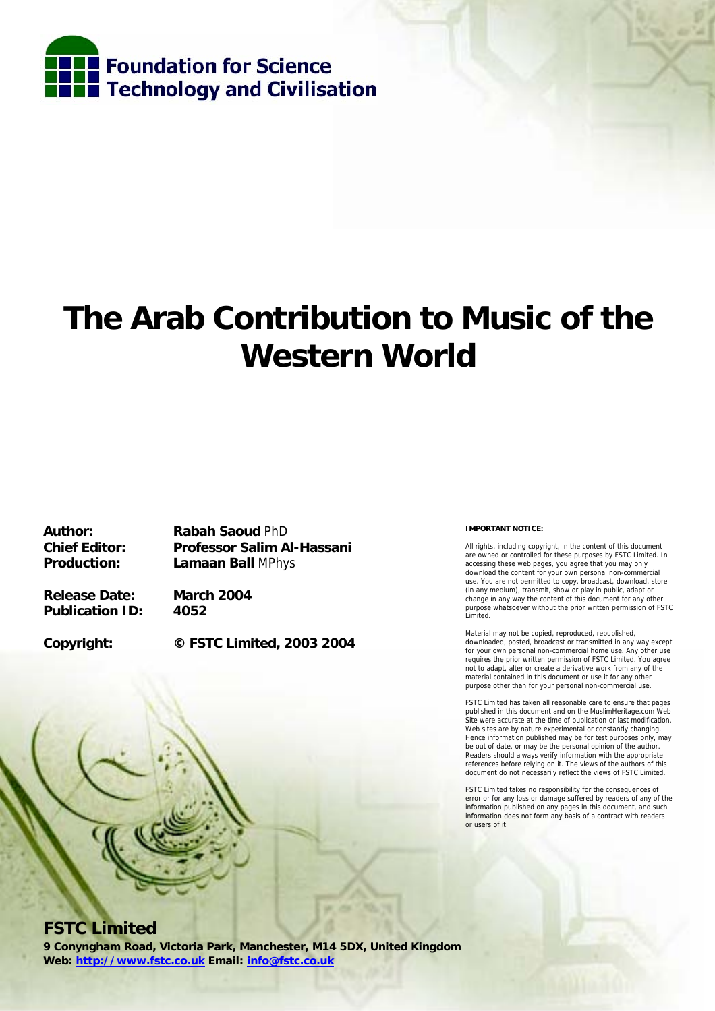

# **The Arab Contribution to Music of the Western World**

**Author: Rabah Saoud** PhD **Chief Editor: Professor Salim Al-Hassani Production: Lamaan Ball** MPhys

**Release Date: March 2004 Publication ID: 4052** 

**Copyright: © FSTC Limited, 2003 2004** 

#### **IMPORTANT NOTICE:**

All rights, including copyright, in the content of this document are owned or controlled for these purposes by FSTC Limited. In accessing these web pages, you agree that you may only download the content for your own personal non-commercial use. You are not permitted to copy, broadcast, download, store (in any medium), transmit, show or play in public, adapt or change in any way the content of this document for any other purpose whatsoever without the prior written permission of FSTC Limited.

Material may not be copied, reproduced, republished, downloaded, posted, broadcast or transmitted in any way except for your own personal non-commercial home use. Any other use requires the prior written permission of FSTC Limited. You agree not to adapt, alter or create a derivative work from any of the material contained in this document or use it for any other purpose other than for your personal non-commercial use.

FSTC Limited has taken all reasonable care to ensure that pages published in this document and on the MuslimHeritage.com Web Site were accurate at the time of publication or last modification. Web sites are by nature experimental or constantly changing. Hence information published may be for test purposes only, may be out of date, or may be the personal opinion of the author. Readers should always verify information with the appropriate references before relying on it. The views of the authors of this document do not necessarily reflect the views of FSTC Limited.

FSTC Limited takes no responsibility for the consequences of error or for any loss or damage suffered by readers of any of the information published on any pages in this document, and such information does not form any basis of a contract with readers or users of it.

# **FSTC Limited**

**9 Conyngham Road, Victoria Park, Manchester, M14 5DX, United Kingdom Web: http://www.fstc.co.uk Email: info@fstc.co.uk**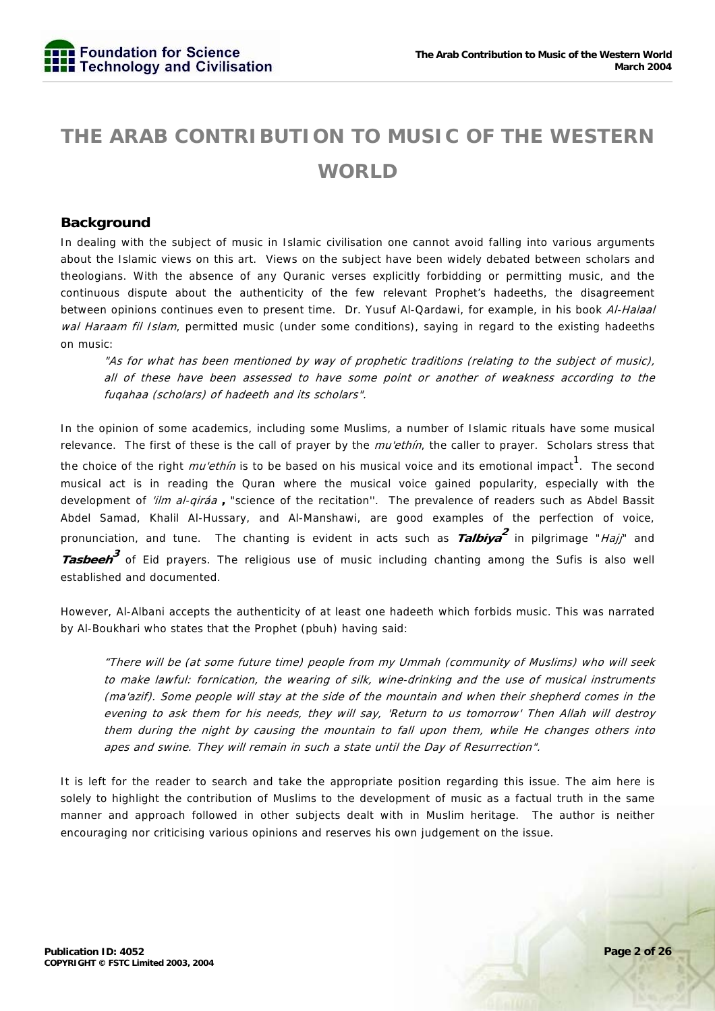# **THE ARAB CONTRIBUTION TO MUSIC OF THE WESTERN WORLD**

# **Background**

In dealing with the subject of music in Islamic civilisation one cannot avoid falling into various arguments about the Islamic views on this art. Views on the subject have been widely debated between scholars and theologians. With the absence of any Quranic verses explicitly forbidding or permitting music, and the continuous dispute about the authenticity of the few relevant Prophet's hadeeths, the disagreement between opinions continues even to present time. Dr. Yusuf Al-Qardawi, for example, in his book Al-Halaal wal Haraam fil Islam, permitted music (under some conditions), saying in regard to the existing hadeeths on music:

"As for what has been mentioned by way of prophetic traditions (relating to the subject of music), all of these have been assessed to have some point or another of weakness according to the fuqahaa (scholars) of hadeeth and its scholars".

In the opinion of some academics, including some Muslims, a number of Islamic rituals have some musical relevance. The first of these is the call of prayer by the *mu'ethin*, the caller to prayer. Scholars stress that the choice of the right *mu'ethin* is to be based on his musical voice and its emotional impact<sup>1</sup>. The second musical act is in reading the Quran where the musical voice gained popularity, especially with the development of 'ilm al-qiráa **,** "science of the recitation''. The prevalence of readers such as Abdel Bassit Abdel Samad, Khalil Al-Hussary, and Al-Manshawi, are good examples of the perfection of voice, pronunciation, and tune. The chanting is evident in acts such as **Talbiya<sup>2</sup>** in pilgrimage "Hajj" and **Tasbeeh<sup>3</sup>** of Eid prayers. The religious use of music including chanting among the Sufis is also well established and documented.

However, Al-Albani accepts the authenticity of at least one hadeeth which forbids music. This was narrated by Al-Boukhari who states that the Prophet (pbuh) having said:

"There will be (at some future time) people from my Ummah (community of Muslims) who will seek to make lawful: fornication, the wearing of silk, wine-drinking and the use of musical instruments (ma'azif). Some people will stay at the side of the mountain and when their shepherd comes in the evening to ask them for his needs, they will say, 'Return to us tomorrow' Then Allah will destroy them during the night by causing the mountain to fall upon them, while He changes others into apes and swine. They will remain in such a state until the Day of Resurrection".

It is left for the reader to search and take the appropriate position regarding this issue. The aim here is solely to highlight the contribution of Muslims to the development of music as a factual truth in the same manner and approach followed in other subjects dealt with in Muslim heritage. The author is neither encouraging nor criticising various opinions and reserves his own judgement on the issue.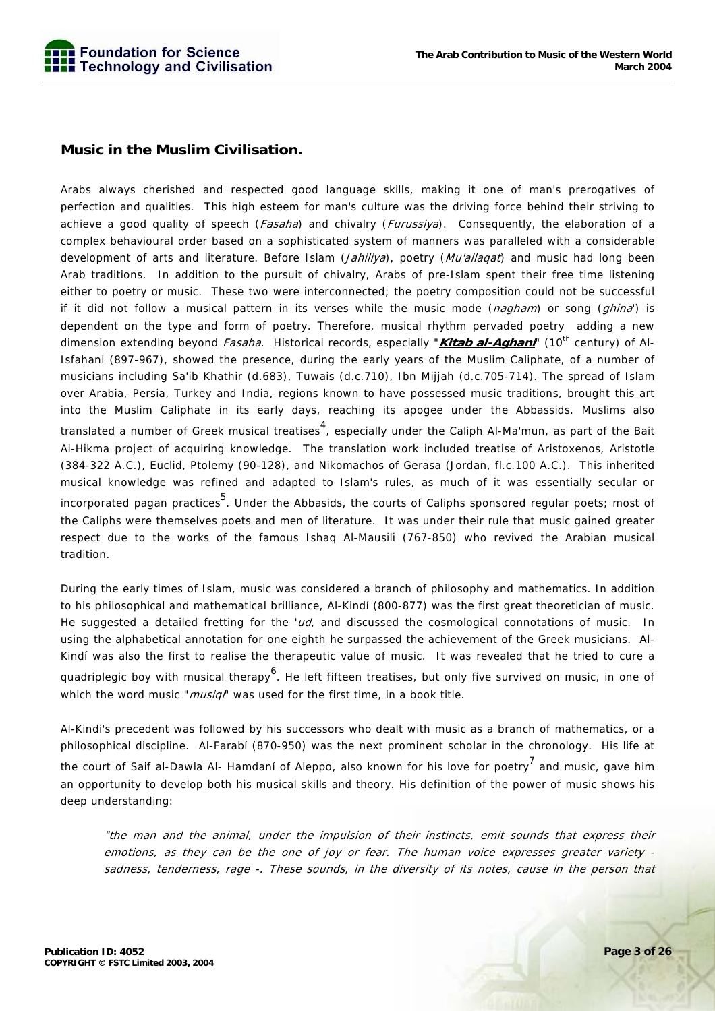

# **Music in the Muslim Civilisation.**

Arabs always cherished and respected good language skills, making it one of man's prerogatives of perfection and qualities. This high esteem for man's culture was the driving force behind their striving to achieve a good quality of speech (*Fasaha*) and chivalry (*Furussiya*). Consequently, the elaboration of a complex behavioural order based on a sophisticated system of manners was paralleled with a considerable development of arts and literature. Before Islam (Jahiliya), poetry (Mu'allagat) and music had long been Arab traditions. In addition to the pursuit of chivalry, Arabs of pre-Islam spent their free time listening either to poetry or music. These two were interconnected; the poetry composition could not be successful if it did not follow a musical pattern in its verses while the music mode (nagham) or song (ghina') is dependent on the type and form of poetry. Therefore, musical rhythm pervaded poetry adding a new dimension extending beyond *Fasaha*. Historical records, especially "**Kitab al-Aghani**" (10<sup>th</sup> century) of Al-Isfahani (897-967), showed the presence, during the early years of the Muslim Caliphate, of a number of musicians including Sa'ib Khathir (d.683), Tuwais (d.c.710), Ibn Mijjah (d.c.705-714). The spread of Islam over Arabia, Persia, Turkey and India, regions known to have possessed music traditions, brought this art into the Muslim Caliphate in its early days, reaching its apogee under the Abbassids. Muslims also translated a number of Greek musical treatises<sup>4</sup>, especially under the Caliph Al-Ma'mun, as part of the Bait Al-Hikma project of acquiring knowledge. The translation work included treatise of Aristoxenos, Aristotle (384-322 A.C.), Euclid, Ptolemy (90-128), and Nikomachos of Gerasa (Jordan, fl.c.100 A.C.). This inherited musical knowledge was refined and adapted to Islam's rules, as much of it was essentially secular or incorporated pagan practices  $^5$ . Under the Abbasids, the courts of Caliphs sponsored regular poets; most of the Caliphs were themselves poets and men of literature. It was under their rule that music gained greater respect due to the works of the famous Ishaq Al-Mausili (767-850) who revived the Arabian musical tradition.

During the early times of Islam, music was considered a branch of philosophy and mathematics. In addition to his philosophical and mathematical brilliance, Al-Kindí (800-877) was the first great theoretician of music. He suggested a detailed fretting for the ' $u/d$ , and discussed the cosmological connotations of music. In using the alphabetical annotation for one eighth he surpassed the achievement of the Greek musicians. Al-Kindí was also the first to realise the therapeutic value of music. It was revealed that he tried to cure a quadriplegic boy with musical therapy<sup>6</sup>. He left fifteen treatises, but only five survived on music, in one of which the word music "*musiqi*" was used for the first time, in a book title.

Al-Kindi's precedent was followed by his successors who dealt with music as a branch of mathematics, or a philosophical discipline. Al-Farabí (870-950) was the next prominent scholar in the chronology. His life at the court of Saif al-Dawla Al- Hamdaní of Aleppo, also known for his love for poetry<sup>7</sup> and music, gave him an opportunity to develop both his musical skills and theory. His definition of the power of music shows his deep understanding:

"the man and the animal, under the impulsion of their instincts, emit sounds that express their emotions, as they can be the one of joy or fear. The human voice expresses greater variety sadness, tenderness, rage -. These sounds, in the diversity of its notes, cause in the person that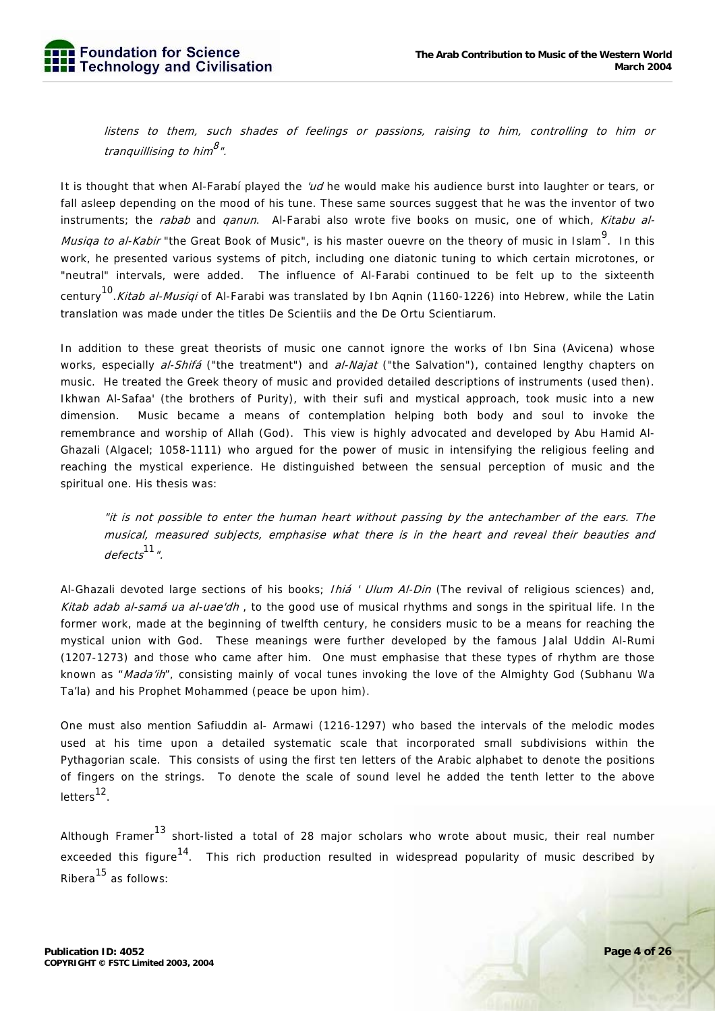listens to them, such shades of feelings or passions, raising to him, controlling to him or tranquillising to him<sup>8</sup>".

It is thought that when Al-Farabí played the 'ud he would make his audience burst into laughter or tears, or fall asleep depending on the mood of his tune. These same sources suggest that he was the inventor of two instruments; the rabab and qanun. Al-Farabi also wrote five books on music, one of which, Kitabu al-Musiqa to al-Kabir "the Great Book of Music", is his master ouevre on the theory of music in Islam<sup>9</sup>. In this work, he presented various systems of pitch, including one diatonic tuning to which certain microtones, or "neutral" intervals, were added. The influence of Al-Farabi continued to be felt up to the sixteenth century<sup>10</sup>. Kitab al-Musiqi of Al-Farabi was translated by Ibn Aqnin (1160-1226) into Hebrew, while the Latin translation was made under the titles De Scientiis and the De Ortu Scientiarum.

In addition to these great theorists of music one cannot ignore the works of Ibn Sina (Avicena) whose works, especially al-Shifá ("the treatment") and al-Najat ("the Salvation"), contained lengthy chapters on music. He treated the Greek theory of music and provided detailed descriptions of instruments (used then). Ikhwan Al-Safaa' (the brothers of Purity), with their sufi and mystical approach, took music into a new dimension. Music became a means of contemplation helping both body and soul to invoke the remembrance and worship of Allah (God). This view is highly advocated and developed by Abu Hamid Al-Ghazali (Algacel; 1058-1111) who argued for the power of music in intensifying the religious feeling and reaching the mystical experience. He distinguished between the sensual perception of music and the spiritual one. His thesis was:

"it is not possible to enter the human heart without passing by the antechamber of the ears. The musical, measured subjects, emphasise what there is in the heart and reveal their beauties and  $defects$ <sup>11</sup>".

Al-Ghazali devoted large sections of his books; *Ihiá ' Ulum Al-Din* (The revival of religious sciences) and, Kitab adab al-samá ua al-uae'dh, to the good use of musical rhythms and songs in the spiritual life. In the former work, made at the beginning of twelfth century, he considers music to be a means for reaching the mystical union with God. These meanings were further developed by the famous Jalal Uddin Al-Rumi (1207-1273) and those who came after him. One must emphasise that these types of rhythm are those known as "Mada'ih", consisting mainly of vocal tunes invoking the love of the Almighty God (Subhanu Wa Ta'la) and his Prophet Mohammed (peace be upon him).

One must also mention Safiuddin al- Armawi (1216-1297) who based the intervals of the melodic modes used at his time upon a detailed systematic scale that incorporated small subdivisions within the Pythagorian scale. This consists of using the first ten letters of the Arabic alphabet to denote the positions of fingers on the strings. To denote the scale of sound level he added the tenth letter to the above letters<sup>12</sup>.

Although Framer<sup>13</sup> short-listed a total of 28 major scholars who wrote about music, their real number exceeded this figure<sup>14</sup>. This rich production resulted in widespread popularity of music described by Ribera<sup>15</sup> as follows: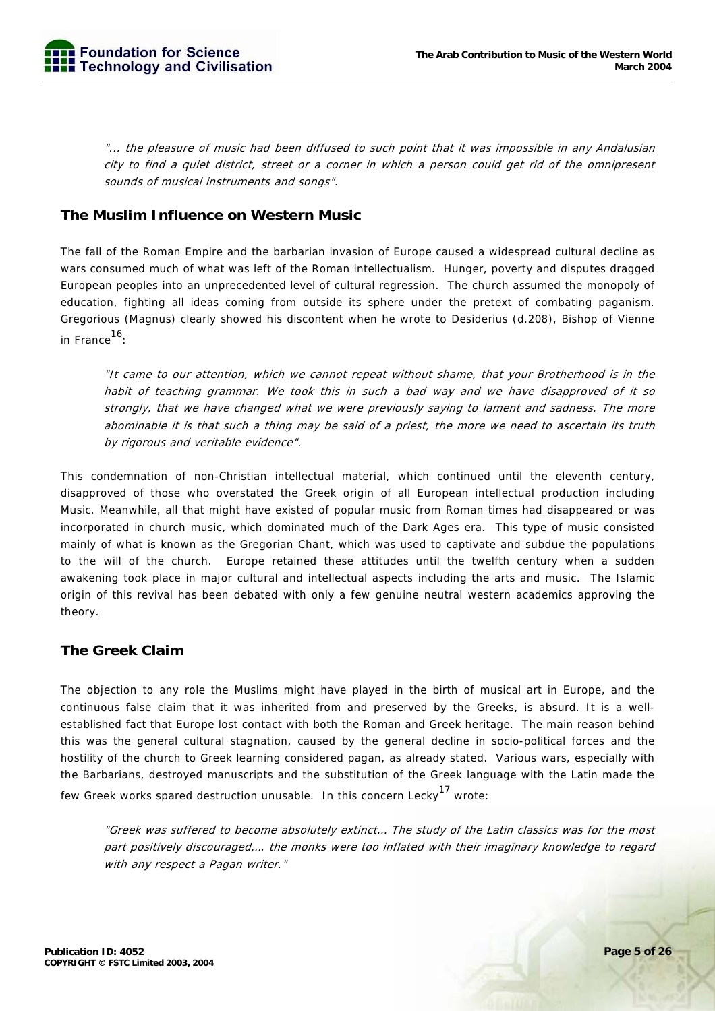"... the pleasure of music had been diffused to such point that it was impossible in any Andalusian city to find a quiet district, street or a corner in which a person could get rid of the omnipresent sounds of musical instruments and songs".

# **The Muslim Influence on Western Music**

The fall of the Roman Empire and the barbarian invasion of Europe caused a widespread cultural decline as wars consumed much of what was left of the Roman intellectualism. Hunger, poverty and disputes dragged European peoples into an unprecedented level of cultural regression. The church assumed the monopoly of education, fighting all ideas coming from outside its sphere under the pretext of combating paganism. Gregorious (Magnus) clearly showed his discontent when he wrote to Desiderius (d.208), Bishop of Vienne in France16:

"It came to our attention, which we cannot repeat without shame, that your Brotherhood is in the habit of teaching grammar. We took this in such a bad way and we have disapproved of it so strongly, that we have changed what we were previously saying to lament and sadness. The more abominable it is that such a thing may be said of a priest, the more we need to ascertain its truth by rigorous and veritable evidence".

This condemnation of non-Christian intellectual material, which continued until the eleventh century, disapproved of those who overstated the Greek origin of all European intellectual production including Music. Meanwhile, all that might have existed of popular music from Roman times had disappeared or was incorporated in church music, which dominated much of the Dark Ages era. This type of music consisted mainly of what is known as the Gregorian Chant, which was used to captivate and subdue the populations to the will of the church. Europe retained these attitudes until the twelfth century when a sudden awakening took place in major cultural and intellectual aspects including the arts and music. The Islamic origin of this revival has been debated with only a few genuine neutral western academics approving the theory.

# **The Greek Claim**

The objection to any role the Muslims might have played in the birth of musical art in Europe, and the continuous false claim that it was inherited from and preserved by the Greeks, is absurd. It is a wellestablished fact that Europe lost contact with both the Roman and Greek heritage. The main reason behind this was the general cultural stagnation, caused by the general decline in socio-political forces and the hostility of the church to Greek learning considered pagan, as already stated. Various wars, especially with the Barbarians, destroyed manuscripts and the substitution of the Greek language with the Latin made the few Greek works spared destruction unusable. In this concern Lecky<sup>17</sup> wrote:

"Greek was suffered to become absolutely extinct… The study of the Latin classics was for the most part positively discouraged…. the monks were too inflated with their imaginary knowledge to regard with any respect a Pagan writer."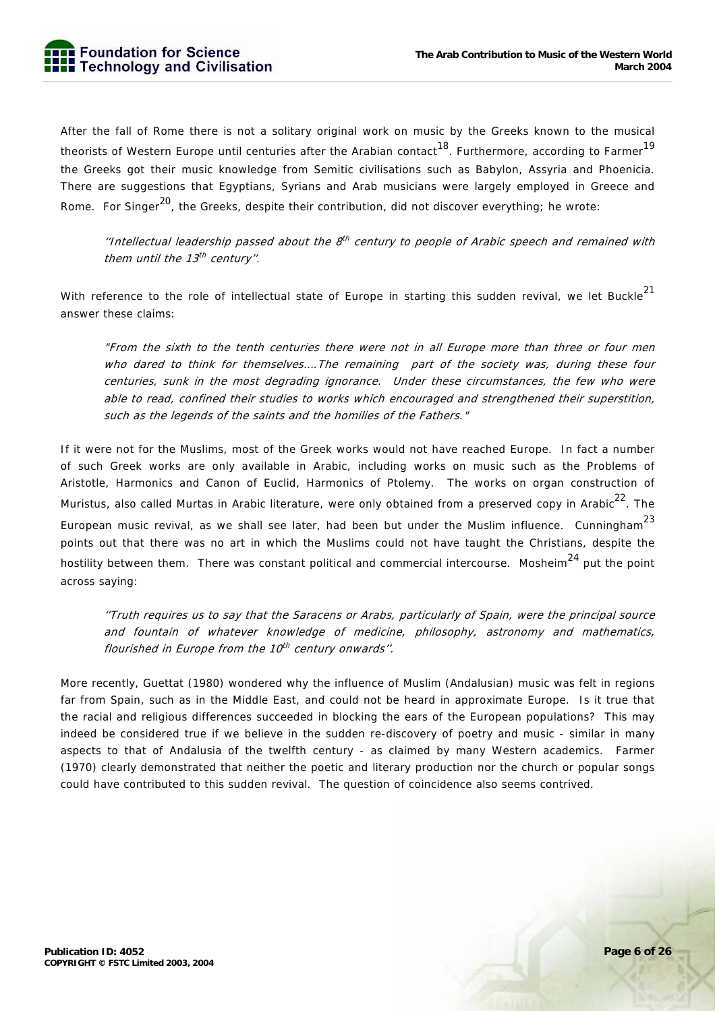After the fall of Rome there is not a solitary original work on music by the Greeks known to the musical theorists of Western Europe until centuries after the Arabian contact<sup>18</sup>. Furthermore, according to Farmer<sup>19</sup> the Greeks got their music knowledge from Semitic civilisations such as Babylon, Assyria and Phoenicia. There are suggestions that Egyptians, Syrians and Arab musicians were largely employed in Greece and Rome. For Singer<sup>20</sup>, the Greeks, despite their contribution, did not discover everything; he wrote:

"Intellectual leadership passed about the  $8<sup>th</sup>$  century to people of Arabic speech and remained with them until the  $13<sup>th</sup>$  century".

With reference to the role of intellectual state of Europe in starting this sudden revival, we let Buckle<sup>21</sup> answer these claims:

"From the sixth to the tenth centuries there were not in all Europe more than three or four men who dared to think for themselves....The remaining part of the society was, during these four centuries, sunk in the most degrading ignorance. Under these circumstances, the few who were able to read, confined their studies to works which encouraged and strengthened their superstition, such as the legends of the saints and the homilies of the Fathers."

If it were not for the Muslims, most of the Greek works would not have reached Europe. In fact a number of such Greek works are only available in Arabic, including works on music such as the Problems of Aristotle, Harmonics and Canon of Euclid, Harmonics of Ptolemy. The works on organ construction of Muristus, also called Murtas in Arabic literature, were only obtained from a preserved copy in Arabic<sup>22</sup>. The European music revival, as we shall see later, had been but under the Muslim influence. Cunningham<sup>23</sup> points out that there was no art in which the Muslims could not have taught the Christians, despite the hostility between them. There was constant political and commercial intercourse. Mosheim<sup>24</sup> put the point across saying:

''Truth requires us to say that the Saracens or Arabs, particularly of Spain, were the principal source and fountain of whatever knowledge of medicine, philosophy, astronomy and mathematics, flourished in Europe from the  $10<sup>th</sup>$  century onwards".

More recently, Guettat (1980) wondered why the influence of Muslim (Andalusian) music was felt in regions far from Spain, such as in the Middle East, and could not be heard in approximate Europe. Is it true that the racial and religious differences succeeded in blocking the ears of the European populations? This may indeed be considered true if we believe in the sudden re-discovery of poetry and music - similar in many aspects to that of Andalusia of the twelfth century - as claimed by many Western academics. Farmer (1970) clearly demonstrated that neither the poetic and literary production nor the church or popular songs could have contributed to this sudden revival. The question of coincidence also seems contrived.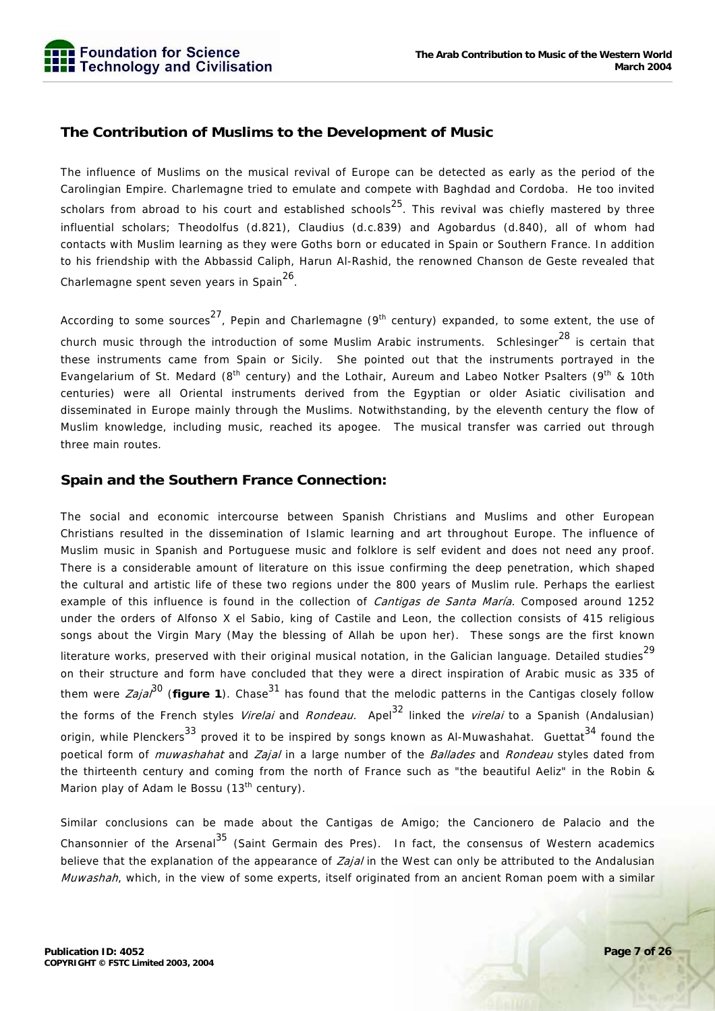

# **The Contribution of Muslims to the Development of Music**

The influence of Muslims on the musical revival of Europe can be detected as early as the period of the Carolingian Empire. Charlemagne tried to emulate and compete with Baghdad and Cordoba. He too invited scholars from abroad to his court and established schools<sup>25</sup>. This revival was chiefly mastered by three influential scholars; Theodolfus (d.821), Claudius (d.c.839) and Agobardus (d.840), all of whom had contacts with Muslim learning as they were Goths born or educated in Spain or Southern France. In addition to his friendship with the Abbassid Caliph, Harun Al-Rashid, the renowned Chanson de Geste revealed that Charlemagne spent seven years in Spain<sup>26</sup>.

According to some sources<sup>27</sup>, Pepin and Charlemagne (9<sup>th</sup> century) expanded, to some extent, the use of church music through the introduction of some Muslim Arabic instruments. Schlesinger<sup>28</sup> is certain that these instruments came from Spain or Sicily. She pointed out that the instruments portrayed in the Evangelarium of St. Medard (8<sup>th</sup> century) and the Lothair, Aureum and Labeo Notker Psalters (9<sup>th</sup> & 10th centuries) were all Oriental instruments derived from the Egyptian or older Asiatic civilisation and disseminated in Europe mainly through the Muslims. Notwithstanding, by the eleventh century the flow of Muslim knowledge, including music, reached its apogee. The musical transfer was carried out through three main routes.

# **Spain and the Southern France Connection:**

The social and economic intercourse between Spanish Christians and Muslims and other European Christians resulted in the dissemination of Islamic learning and art throughout Europe. The influence of Muslim music in Spanish and Portuguese music and folklore is self evident and does not need any proof. There is a considerable amount of literature on this issue confirming the deep penetration, which shaped the cultural and artistic life of these two regions under the 800 years of Muslim rule. Perhaps the earliest example of this influence is found in the collection of *Cantigas de Santa María*. Composed around 1252 under the orders of Alfonso X el Sabio, king of Castile and Leon, the collection consists of 415 religious songs about the Virgin Mary (May the blessing of Allah be upon her). These songs are the first known literature works, preserved with their original musical notation, in the Galician language. Detailed studies<sup>29</sup> on their structure and form have concluded that they were a direct inspiration of Arabic music as 335 of them were  $Zaja^{30}$  (**figure 1**). Chase<sup>31</sup> has found that the melodic patterns in the Cantigas closely follow the forms of the French styles *Virelai* and *Rondeau.* Apel<sup>32</sup> linked the *virelai* to a Spanish (Andalusian) origin, while Plenckers<sup>33</sup> proved it to be inspired by songs known as Al-Muwashahat. Guettat<sup>34</sup> found the poetical form of *muwashahat* and *Zajal* in a large number of the *Ballades* and *Rondeau* styles dated from the thirteenth century and coming from the north of France such as "the beautiful Aeliz" in the Robin & Marion play of Adam le Bossu (13<sup>th</sup> century).

Similar conclusions can be made about the Cantigas de Amigo; the Cancionero de Palacio and the Chansonnier of the Arsenal<sup>35</sup> (Saint Germain des Pres). In fact, the consensus of Western academics believe that the explanation of the appearance of *Zajal* in the West can only be attributed to the Andalusian Muwashah, which, in the view of some experts, itself originated from an ancient Roman poem with a similar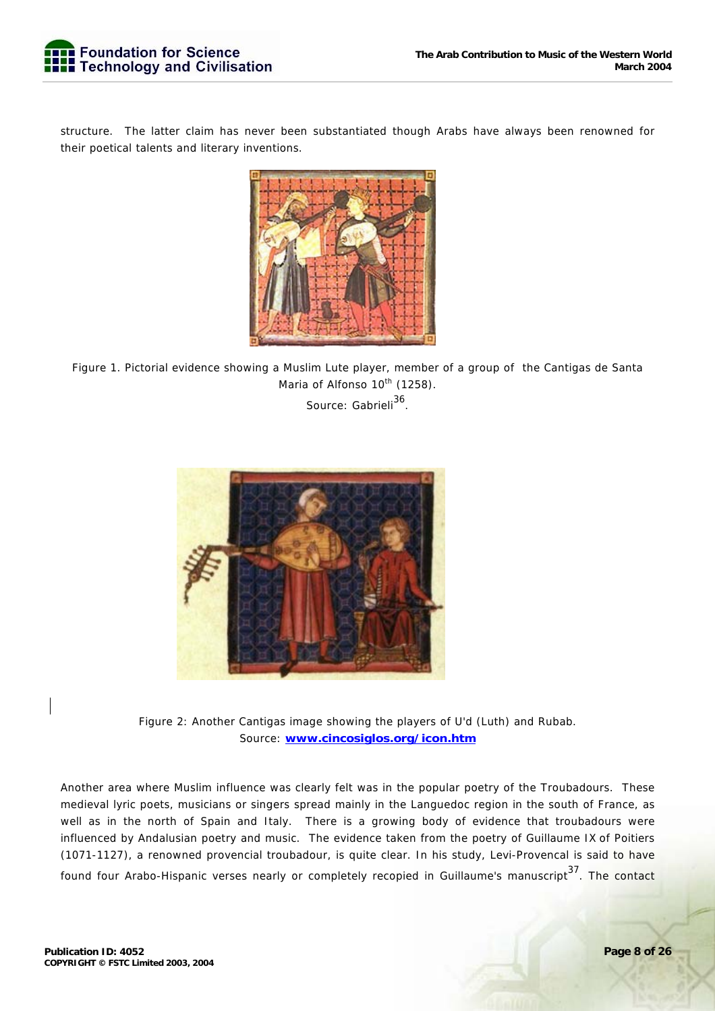structure. The latter claim has never been substantiated though Arabs have always been renowned for their poetical talents and literary inventions.



Figure 1. Pictorial evidence showing a Muslim Lute player, member of a group of the Cantigas de Santa Maria of Alfonso 10<sup>th</sup> (1258).

Source: Gabrieli<sup>36</sup>.



Figure 2: Another Cantigas image showing the players of U'd (Luth) and Rubab. Source: **www.cincosiglos.org/icon.htm**

Another area where Muslim influence was clearly felt was in the popular poetry of the Troubadours. These medieval lyric poets, musicians or singers spread mainly in the Languedoc region in the south of France, as well as in the north of Spain and Italy. There is a growing body of evidence that troubadours were influenced by Andalusian poetry and music. The evidence taken from the poetry of Guillaume IX of Poitiers (1071-1127), a renowned provencial troubadour, is quite clear. In his study, Levi-Provencal is said to have found four Arabo-Hispanic verses nearly or completely recopied in Guillaume's manuscript<sup>37</sup>. The contact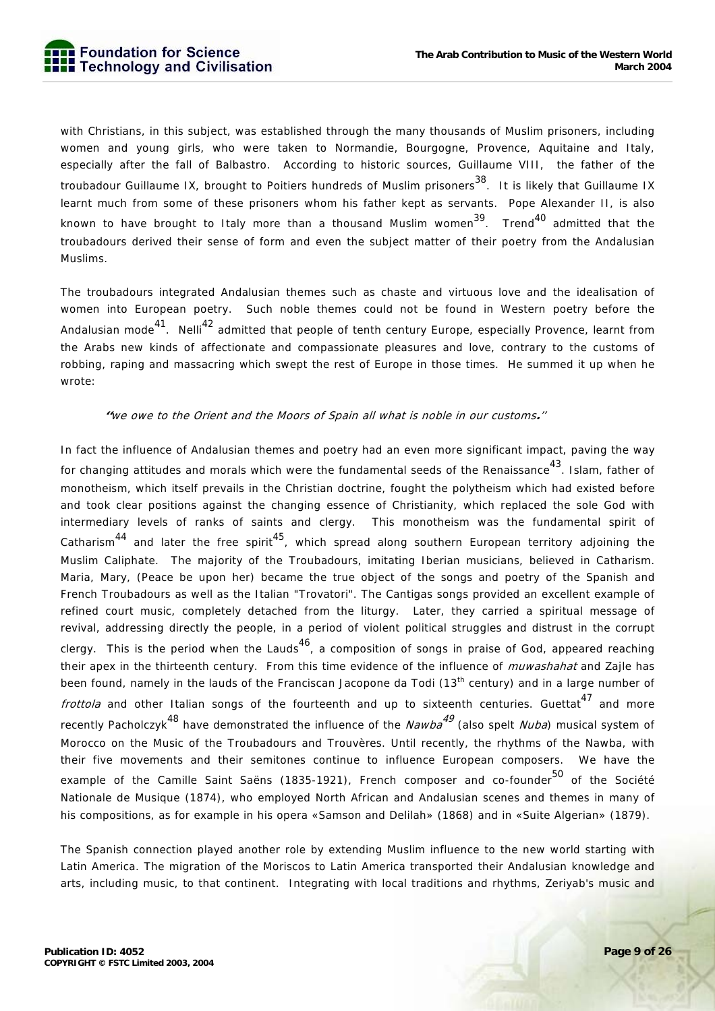with Christians, in this subject, was established through the many thousands of Muslim prisoners, including women and young girls, who were taken to Normandie, Bourgogne, Provence, Aquitaine and Italy, especially after the fall of Balbastro. According to historic sources, Guillaume VIII, the father of the troubadour Guillaume IX, brought to Poitiers hundreds of Muslim prisoners<sup>38</sup>. It is likely that Guillaume IX learnt much from some of these prisoners whom his father kept as servants. Pope Alexander II, is also known to have brought to Italy more than a thousand Muslim women<sup>39</sup>. Trend<sup>40</sup> admitted that the troubadours derived their sense of form and even the subject matter of their poetry from the Andalusian Muslims.

The troubadours integrated Andalusian themes such as chaste and virtuous love and the idealisation of women into European poetry. Such noble themes could not be found in Western poetry before the Andalusian mode<sup>41</sup>. Nelli<sup>42</sup> admitted that people of tenth century Europe, especially Provence, learnt from the Arabs new kinds of affectionate and compassionate pleasures and love, contrary to the customs of robbing, raping and massacring which swept the rest of Europe in those times. He summed it up when he wrote:

#### **''**we owe to the Orient and the Moors of Spain all what is noble in our customs**.**''

In fact the influence of Andalusian themes and poetry had an even more significant impact, paving the way for changing attitudes and morals which were the fundamental seeds of the Renaissance<sup>43</sup>. Islam, father of monotheism, which itself prevails in the Christian doctrine, fought the polytheism which had existed before and took clear positions against the changing essence of Christianity, which replaced the sole God with intermediary levels of ranks of saints and clergy. This monotheism was the fundamental spirit of Catharism<sup>44</sup> and later the free spirit<sup>45</sup>, which spread along southern European territory adjoining the Muslim Caliphate. The majority of the Troubadours, imitating Iberian musicians, believed in Catharism. Maria, Mary, (Peace be upon her) became the true object of the songs and poetry of the Spanish and French Troubadours as well as the Italian "Trovatori". The Cantigas songs provided an excellent example of refined court music, completely detached from the liturgy. Later, they carried a spiritual message of revival, addressing directly the people, in a period of violent political struggles and distrust in the corrupt clergy. This is the period when the Lauds<sup>46</sup>, a composition of songs in praise of God, appeared reaching their apex in the thirteenth century. From this time evidence of the influence of *muwashahat* and Zajle has been found, namely in the lauds of the Franciscan Jacopone da Todi (13<sup>th</sup> century) and in a large number of *frottola* and other Italian songs of the fourteenth and up to sixteenth centuries. Guettat<sup>47</sup> and more recently Pacholczyk<sup>48</sup> have demonstrated the influence of the *Nawba<sup>49</sup>* (also spelt *Nuba*) musical system of Morocco on the Music of the Troubadours and Trouvères. Until recently, the rhythms of the Nawba, with their five movements and their semitones continue to influence European composers. We have the example of the Camille Saint Saëns (1835-1921), French composer and co-founder<sup>50</sup> of the Société Nationale de Musique (1874), who employed North African and Andalusian scenes and themes in many of his compositions, as for example in his opera «Samson and Delilah» (1868) and in «Suite Algerian» (1879).

The Spanish connection played another role by extending Muslim influence to the new world starting with Latin America. The migration of the Moriscos to Latin America transported their Andalusian knowledge and arts, including music, to that continent. Integrating with local traditions and rhythms, Zeriyab's music and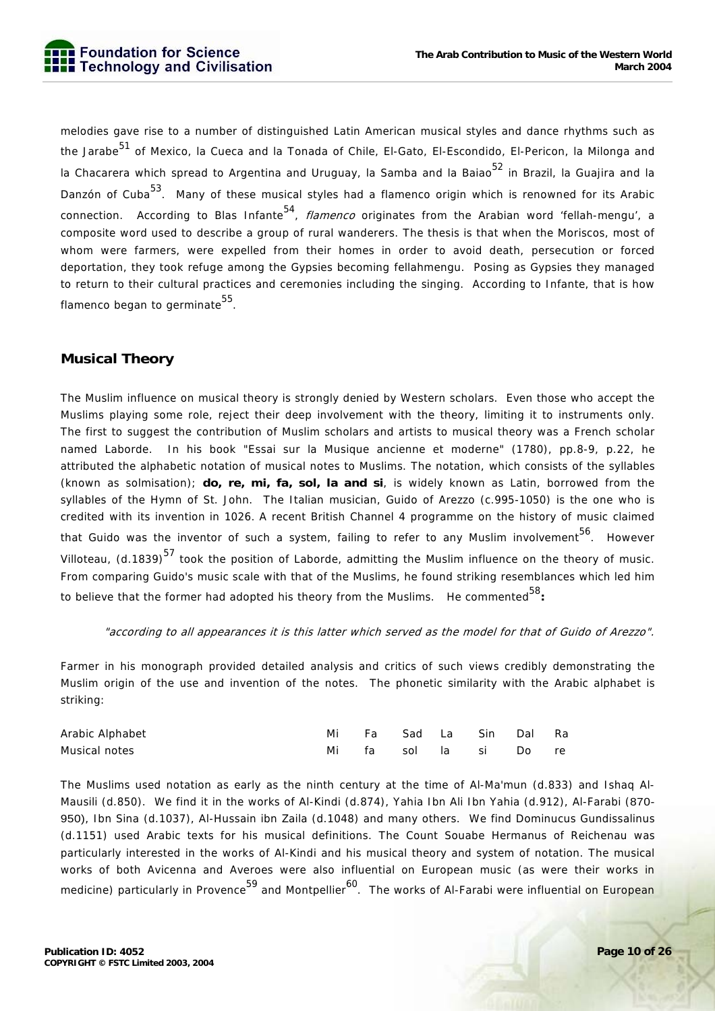melodies gave rise to a number of distinguished Latin American musical styles and dance rhythms such as the Jarabe<sup>51</sup> of Mexico, la Cueca and la Tonada of Chile, El-Gato, El-Escondido, El-Pericon, la Milonga and la Chacarera which spread to Argentina and Uruguay, la Samba and la Baiao<sup>52</sup> in Brazil, la Guajira and la Danzón of Cuba<sup>53</sup>. Many of these musical styles had a flamenco origin which is renowned for its Arabic connection. According to Blas Infante<sup>54</sup>, *flamenco* originates from the Arabian word 'fellah-mengu', a composite word used to describe a group of rural wanderers. The thesis is that when the Moriscos, most of whom were farmers, were expelled from their homes in order to avoid death, persecution or forced deportation, they took refuge among the Gypsies becoming fellahmengu. Posing as Gypsies they managed to return to their cultural practices and ceremonies including the singing. According to Infante, that is how flamenco began to germinate  $55$ .

# **Musical Theory**

The Muslim influence on musical theory is strongly denied by Western scholars. Even those who accept the Muslims playing some role, reject their deep involvement with the theory, limiting it to instruments only. The first to suggest the contribution of Muslim scholars and artists to musical theory was a French scholar named Laborde. In his book "Essai sur la Musique ancienne et moderne" (1780), pp.8-9, p.22, he attributed the alphabetic notation of musical notes to Muslims. The notation, which consists of the syllables (known as solmisation); **do, re, mi, fa, sol, la and si**, is widely known as Latin, borrowed from the syllables of the Hymn of St. John. The Italian musician, Guido of Arezzo (c.995-1050) is the one who is credited with its invention in 1026. A recent British Channel 4 programme on the history of music claimed that Guido was the inventor of such a system, failing to refer to any Muslim involvement  $56$ . However Villoteau. (d.1839)<sup>57</sup> took the position of Laborde, admitting the Muslim influence on the theory of music. From comparing Guido's music scale with that of the Muslims, he found striking resemblances which led him to believe that the former had adopted his theory from the Muslims. He commented<sup>58</sup>:

#### "according to all appearances it is this latter which served as the model for that of Guido of Arezzo".

Farmer in his monograph provided detailed analysis and critics of such views credibly demonstrating the Muslim origin of the use and invention of the notes. The phonetic similarity with the Arabic alphabet is striking:

| Arabic Alphabet |  |  | Fa Sad La Sin Dal Ra  |  |
|-----------------|--|--|-----------------------|--|
| Musical notes   |  |  | Mi fa sol la si Do re |  |

The Muslims used notation as early as the ninth century at the time of Al-Ma'mun (d.833) and Ishaq Al-Mausili (d.850). We find it in the works of Al-Kindi (d.874), Yahia Ibn Ali Ibn Yahia (d.912), Al-Farabi (870- 950), Ibn Sina (d.1037), Al-Hussain ibn Zaila (d.1048) and many others. We find Dominucus Gundissalinus (d.1151) used Arabic texts for his musical definitions. The Count Souabe Hermanus of Reichenau was particularly interested in the works of Al-Kindi and his musical theory and system of notation. The musical works of both Avicenna and Averoes were also influential on European music (as were their works in medicine) particularly in Provence<sup>59</sup> and Montpellier<sup>60</sup>. The works of Al-Farabi were influential on European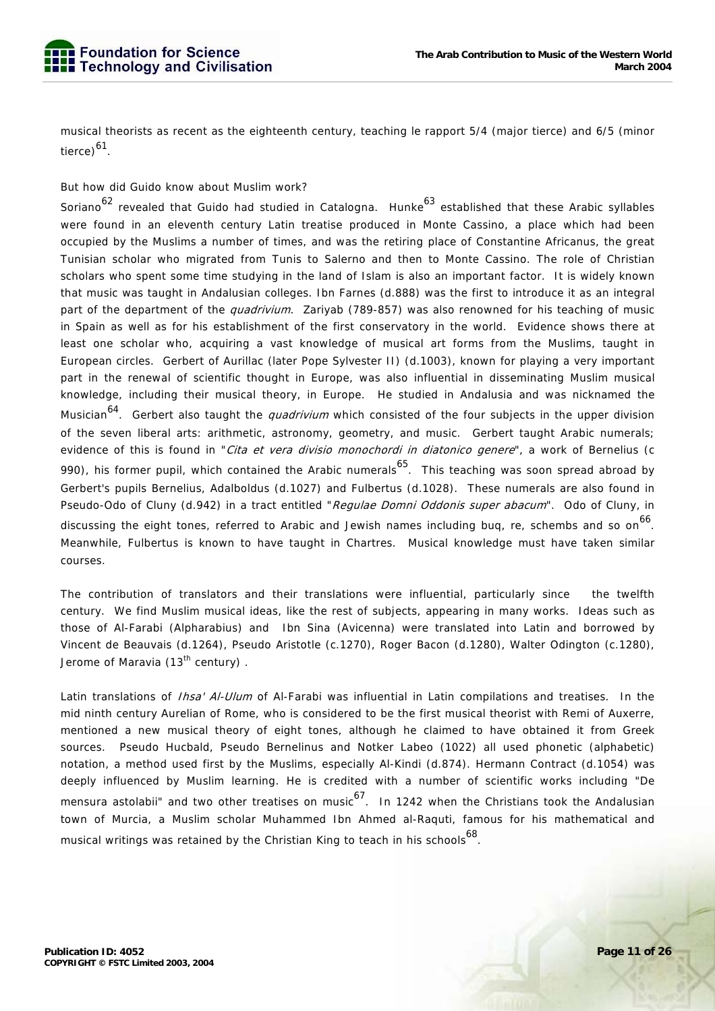musical theorists as recent as the eighteenth century, teaching le rapport 5/4 (major tierce) and 6/5 (minor tierce)<sup>61</sup>.

### But how did Guido know about Muslim work?

Soriano<sup>62</sup> revealed that Guido had studied in Catalogna. Hunke<sup>63</sup> established that these Arabic syllables were found in an eleventh century Latin treatise produced in Monte Cassino, a place which had been occupied by the Muslims a number of times, and was the retiring place of Constantine Africanus, the great Tunisian scholar who migrated from Tunis to Salerno and then to Monte Cassino. The role of Christian scholars who spent some time studying in the land of Islam is also an important factor. It is widely known that music was taught in Andalusian colleges. Ibn Farnes (d.888) was the first to introduce it as an integral part of the department of the *quadrivium*. Zariyab (789-857) was also renowned for his teaching of music in Spain as well as for his establishment of the first conservatory in the world. Evidence shows there at least one scholar who, acquiring a vast knowledge of musical art forms from the Muslims, taught in European circles. Gerbert of Aurillac (later Pope Sylvester II) (d.1003), known for playing a very important part in the renewal of scientific thought in Europe, was also influential in disseminating Muslim musical knowledge, including their musical theory, in Europe. He studied in Andalusia and was nicknamed the Musician<sup>64</sup>. Gerbert also taught the *quadrivium* which consisted of the four subjects in the upper division of the seven liberal arts: arithmetic, astronomy, geometry, and music. Gerbert taught Arabic numerals; evidence of this is found in "Cita et vera divisio monochordi in diatonico genere", a work of Bernelius (c 990), his former pupil, which contained the Arabic numerals<sup>65</sup>. This teaching was soon spread abroad by Gerbert's pupils Bernelius, Adalboldus (d.1027) and Fulbertus (d.1028). These numerals are also found in Pseudo-Odo of Cluny (d.942) in a tract entitled "Regulae Domni Oddonis super abacum". Odo of Cluny, in discussing the eight tones, referred to Arabic and Jewish names including bug, re, schembs and so on 66. Meanwhile, Fulbertus is known to have taught in Chartres. Musical knowledge must have taken similar courses.

The contribution of translators and their translations were influential, particularly since the twelfth century. We find Muslim musical ideas, like the rest of subjects, appearing in many works. Ideas such as those of Al-Farabi (Alpharabius) and Ibn Sina (Avicenna) were translated into Latin and borrowed by Vincent de Beauvais (d.1264), Pseudo Aristotle (c.1270), Roger Bacon (d.1280), Walter Odington (c.1280), Jerome of Maravia (13<sup>th</sup> century).

Latin translations of *Ihsa' Al-Ulum* of Al-Farabi was influential in Latin compilations and treatises. In the mid ninth century Aurelian of Rome, who is considered to be the first musical theorist with Remi of Auxerre, mentioned a new musical theory of eight tones, although he claimed to have obtained it from Greek sources. Pseudo Hucbald, Pseudo Bernelinus and Notker Labeo (1022) all used phonetic (alphabetic) notation, a method used first by the Muslims, especially Al-Kindi (d.874). Hermann Contract (d.1054) was deeply influenced by Muslim learning. He is credited with a number of scientific works including "De mensura astolabii" and two other treatises on music<sup>67</sup>. In 1242 when the Christians took the Andalusian town of Murcia, a Muslim scholar Muhammed Ibn Ahmed al-Raquti, famous for his mathematical and musical writings was retained by the Christian King to teach in his schools<sup>68</sup>.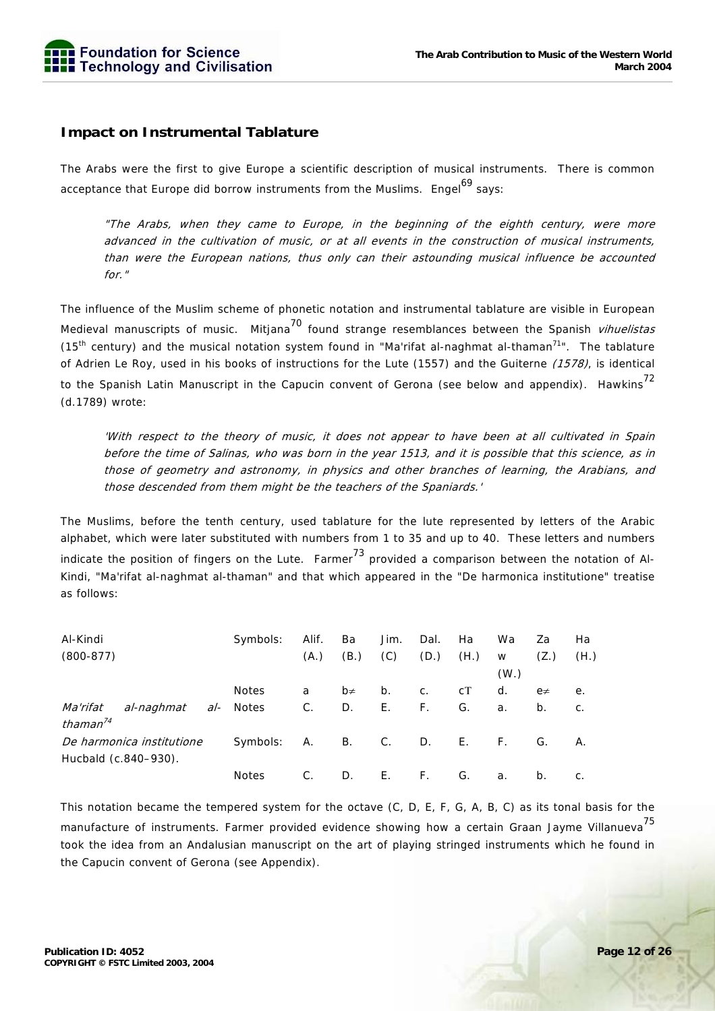

# **Impact on Instrumental Tablature**

The Arabs were the first to give Europe a scientific description of musical instruments. There is common acceptance that Europe did borrow instruments from the Muslims. Engel<sup>69</sup> says:

"The Arabs, when they came to Europe, in the beginning of the eighth century, were more advanced in the cultivation of music, or at all events in the construction of musical instruments, than were the European nations, thus only can their astounding musical influence be accounted for."

The influence of the Muslim scheme of phonetic notation and instrumental tablature are visible in European Medieval manuscripts of music. Mitjana<sup>70</sup> found strange resemblances between the Spanish *vihuelistas* (15<sup>th</sup> century) and the musical notation system found in "Ma'rifat al-naghmat al-thaman<sup>71</sup>". The tablature of Adrien Le Roy, used in his books of instructions for the Lute (1557) and the Guiterne (1578), is identical to the Spanish Latin Manuscript in the Capucin convent of Gerona (see below and appendix). Hawkins<sup>72</sup> (d.1789) wrote:

'With respect to the theory of music, it does not appear to have been at all cultivated in Spain before the time of Salinas, who was born in the year 1513, and it is possible that this science, as in those of geometry and astronomy, in physics and other branches of learning, the Arabians, and those descended from them might be the teachers of the Spaniards.'

The Muslims, before the tenth century, used tablature for the lute represented by letters of the Arabic alphabet, which were later substituted with numbers from 1 to 35 and up to 40. These letters and numbers indicate the position of fingers on the Lute. Farmer  $^{73}$  provided a comparison between the notation of Al-Kindi, "Ma'rifat al-naghmat al-thaman" and that which appeared in the "De harmonica institutione" treatise as follows:

| Al-Kindi                  |                      |  | Symbols:     | Alif. | Ba      | Jim.           | Dal. | Ha           | Wa                | Za       | Ha    |
|---------------------------|----------------------|--|--------------|-------|---------|----------------|------|--------------|-------------------|----------|-------|
| $(800-877)$               |                      |  |              | (A.)  | (B.)    | (C)            | (D.) | (H.)         | W                 | (Z.)     | (H.)  |
|                           |                      |  |              |       |         |                |      |              | (W <sub>1</sub> ) |          |       |
|                           |                      |  | <b>Notes</b> | a     | $b\neq$ | b.             | C.   | cT           | d.                | $e \neq$ | е.    |
| Ma'rifat                  | al-naghmat           |  | al- Notes    | $C$ . | D.      | Ε.             | F.   | G.           | a.                | b.       | $C$ . |
| thaman $^{74}$            |                      |  |              |       |         |                |      |              |                   |          |       |
| De harmonica institutione |                      |  | Symbols:     | A.    | В.      | C <sub>1</sub> | D.   | $E_{\rm{H}}$ | F.                | G.       | А.    |
|                           | Hucbald (c.840-930). |  |              |       |         |                |      |              |                   |          |       |
|                           |                      |  | <b>Notes</b> | C.    | D.      | Ε.             | F.   | G.           | а.                | b.       | C.    |

This notation became the tempered system for the octave (C, D, E, F, G, A, B, C) as its tonal basis for the manufacture of instruments. Farmer provided evidence showing how a certain Graan Jayme Villanueva<sup>75</sup> took the idea from an Andalusian manuscript on the art of playing stringed instruments which he found in the Capucin convent of Gerona (see Appendix).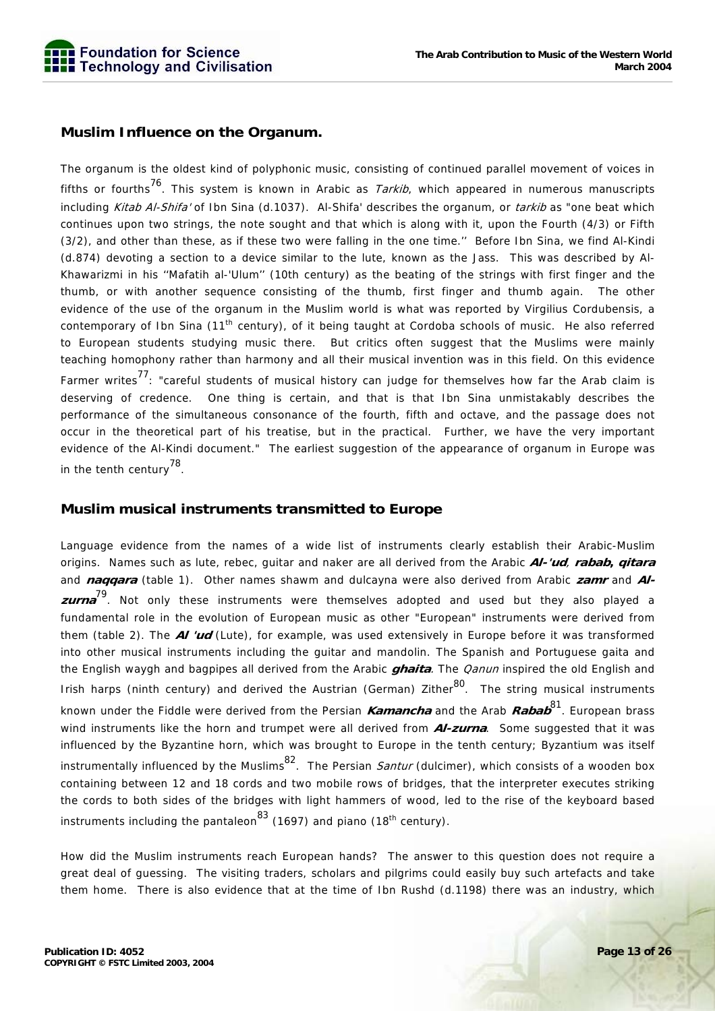

# **Muslim Influence on the Organum.**

The organum is the oldest kind of polyphonic music, consisting of continued parallel movement of voices in fifths or fourths<sup>76</sup>. This system is known in Arabic as *Tarkib*, which appeared in numerous manuscripts including *Kitab Al-Shifa'* of Ibn Sina (d.1037). Al-Shifa' describes the organum, or *tarkib* as "one beat which continues upon two strings, the note sought and that which is along with it, upon the Fourth (4/3) or Fifth (3/2), and other than these, as if these two were falling in the one time.'' Before Ibn Sina, we find Al-Kindi (d.874) devoting a section to a device similar to the lute, known as the Jass. This was described by Al-Khawarizmi in his ''Mafatih al-'Ulum'' (10th century) as the beating of the strings with first finger and the thumb, or with another sequence consisting of the thumb, first finger and thumb again. The other evidence of the use of the organum in the Muslim world is what was reported by Virgilius Cordubensis, a contemporary of Ibn Sina (11<sup>th</sup> century), of it being taught at Cordoba schools of music. He also referred to European students studying music there. But critics often suggest that the Muslims were mainly teaching homophony rather than harmony and all their musical invention was in this field. On this evidence Farmer writes<sup>77</sup>: "careful students of musical history can judge for themselves how far the Arab claim is deserving of credence. One thing is certain, and that is that Ibn Sina unmistakably describes the performance of the simultaneous consonance of the fourth, fifth and octave, and the passage does not occur in the theoretical part of his treatise, but in the practical. Further, we have the very important evidence of the Al-Kindi document." The earliest suggestion of the appearance of organum in Europe was in the tenth century $^{78}$ .

# **Muslim musical instruments transmitted to Europe**

Language evidence from the names of a wide list of instruments clearly establish their Arabic-Muslim origins. Names such as lute, rebec, guitar and naker are all derived from the Arabic **Al-'ud**, **rabab, qitara** and **naqqara** (table 1). Other names shawm and dulcayna were also derived from Arabic zamr and Al**zurna** 79. Not only these instruments were themselves adopted and used but they also played a fundamental role in the evolution of European music as other "European" instruments were derived from them (table 2). The **Al 'ud** (Lute), for example, was used extensively in Europe before it was transformed into other musical instruments including the guitar and mandolin. The Spanish and Portuguese gaita and the English waygh and bagpipes all derived from the Arabic **ghaita**. The Qanun inspired the old English and Irish harps (ninth century) and derived the Austrian (German) Zither<sup>80</sup>. The string musical instruments known under the Fiddle were derived from the Persian **Kamancha** and the Arab **Rabab**81. European brass wind instruments like the horn and trumpet were all derived from **Al-zurna**. Some suggested that it was influenced by the Byzantine horn, which was brought to Europe in the tenth century; Byzantium was itself instrumentally influenced by the Muslims<sup>82</sup>. The Persian Santur (dulcimer), which consists of a wooden box containing between 12 and 18 cords and two mobile rows of bridges, that the interpreter executes striking the cords to both sides of the bridges with light hammers of wood, led to the rise of the keyboard based instruments including the pantaleon<sup>83</sup> (1697) and piano (18<sup>th</sup> century).

How did the Muslim instruments reach European hands? The answer to this question does not require a great deal of guessing. The visiting traders, scholars and pilgrims could easily buy such artefacts and take them home. There is also evidence that at the time of Ibn Rushd (d.1198) there was an industry, which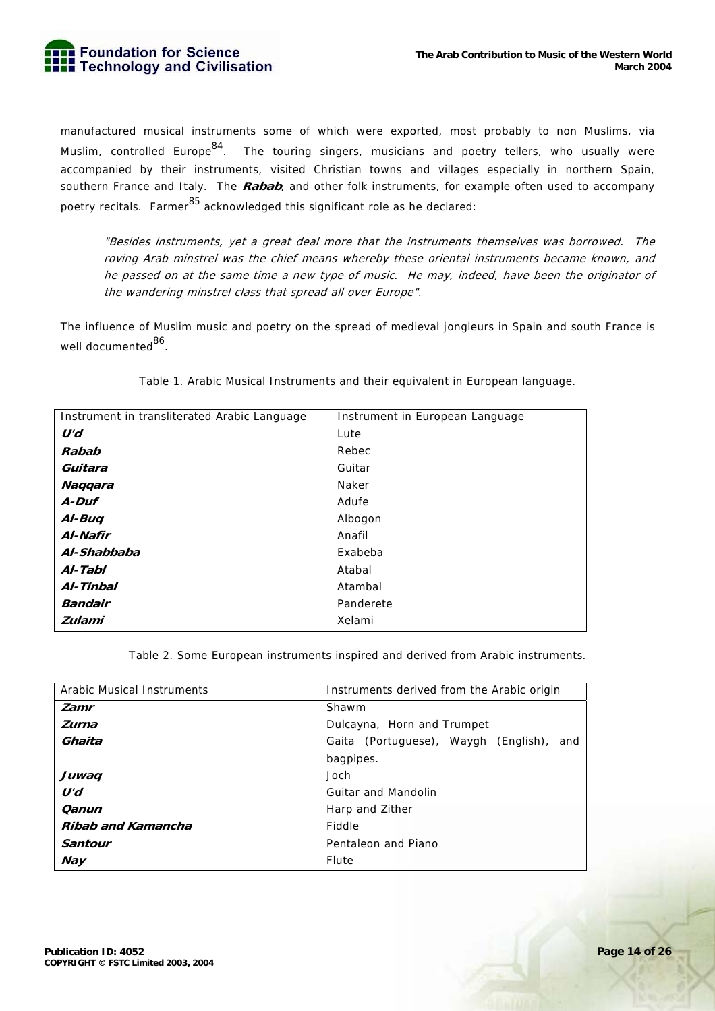

manufactured musical instruments some of which were exported, most probably to non Muslims, via Muslim, controlled Europe<sup>84</sup>. The touring singers, musicians and poetry tellers, who usually were accompanied by their instruments, visited Christian towns and villages especially in northern Spain, southern France and Italy. The **Rabab**, and other folk instruments, for example often used to accompany poetry recitals. Farmer  $85$  acknowledged this significant role as he declared:

"Besides instruments, yet a great deal more that the instruments themselves was borrowed. The roving Arab minstrel was the chief means whereby these oriental instruments became known, and he passed on at the same time a new type of music. He may, indeed, have been the originator of the wandering minstrel class that spread all over Europe".

The influence of Muslim music and poetry on the spread of medieval jongleurs in Spain and south France is well documented<sup>86</sup>.

|  |  | Table 1. Arabic Musical Instruments and their equivalent in European language. |  |  |  |
|--|--|--------------------------------------------------------------------------------|--|--|--|
|  |  |                                                                                |  |  |  |
|  |  |                                                                                |  |  |  |

| Instrument in transliterated Arabic Language | Instrument in European Language |
|----------------------------------------------|---------------------------------|
| U'd                                          | Lute                            |
| Rabab                                        | Rebec                           |
| Guitara                                      | Guitar                          |
| Naqqara                                      | Naker                           |
| A-Duf                                        | Adufe                           |
| Al-Buq                                       | Albogon                         |
| Al-Nafir                                     | Anafil                          |
| Al-Shabbaba                                  | Exabeba                         |
| Al-Tabl                                      | Atabal                          |
| Al-Tinbal                                    | Atambal                         |
| <b>Bandair</b>                               | Panderete                       |
| <b>Zulami</b>                                | Xelami                          |

Table 2. Some European instruments inspired and derived from Arabic instruments.

| <b>Arabic Musical Instruments</b> | Instruments derived from the Arabic origin |  |  |  |  |  |
|-----------------------------------|--------------------------------------------|--|--|--|--|--|
| Zamr                              | Shawm                                      |  |  |  |  |  |
| Zurna                             | Dulcayna, Horn and Trumpet                 |  |  |  |  |  |
| Ghaita                            | Gaita (Portuguese), Waygh (English), and   |  |  |  |  |  |
|                                   | bagpipes.                                  |  |  |  |  |  |
| Juwaq                             | Joch                                       |  |  |  |  |  |
| U'd                               | <b>Guitar and Mandolin</b>                 |  |  |  |  |  |
| Qanun                             | Harp and Zither                            |  |  |  |  |  |
| Ribab and Kamancha                | Fiddle                                     |  |  |  |  |  |
| <b>Santour</b>                    | Pentaleon and Piano                        |  |  |  |  |  |
| <b>Nay</b>                        | Flute                                      |  |  |  |  |  |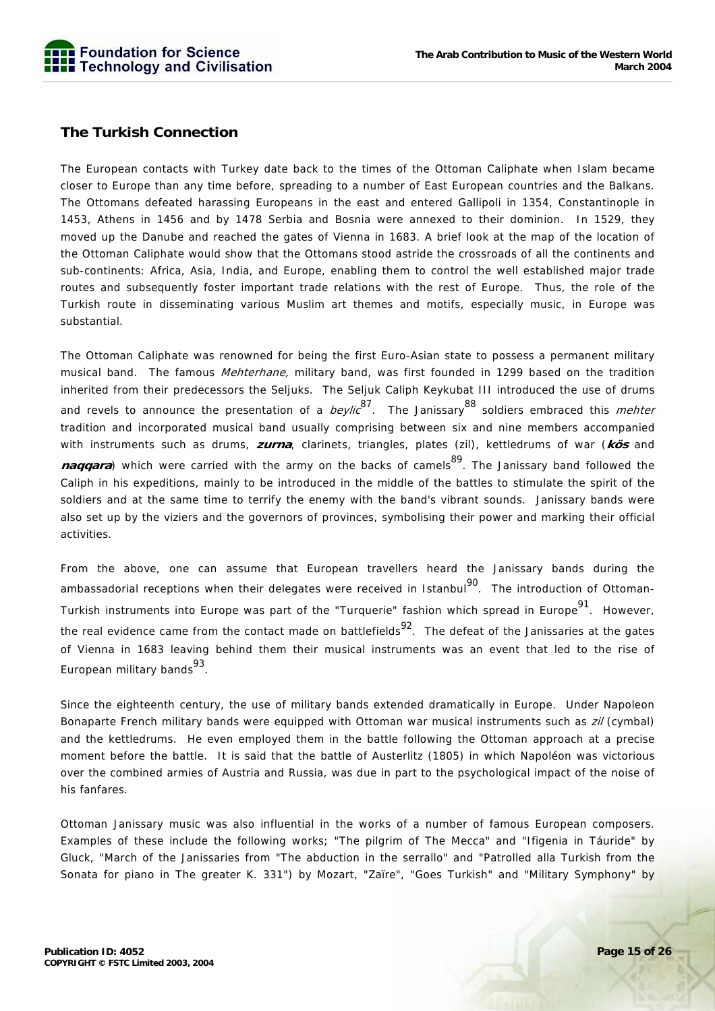

# **The Turkish Connection**

The European contacts with Turkey date back to the times of the Ottoman Caliphate when Islam became closer to Europe than any time before, spreading to a number of East European countries and the Balkans. The Ottomans defeated harassing Europeans in the east and entered Gallipoli in 1354, Constantinople in 1453, Athens in 1456 and by 1478 Serbia and Bosnia were annexed to their dominion. In 1529, they moved up the Danube and reached the gates of Vienna in 1683. A brief look at the map of the location of the Ottoman Caliphate would show that the Ottomans stood astride the crossroads of all the continents and sub-continents: Africa, Asia, India, and Europe, enabling them to control the well established major trade routes and subsequently foster important trade relations with the rest of Europe. Thus, the role of the Turkish route in disseminating various Muslim art themes and motifs, especially music, in Europe was substantial.

The Ottoman Caliphate was renowned for being the first Euro-Asian state to possess a permanent military musical band. The famous *Mehterhane*, military band, was first founded in 1299 based on the tradition inherited from their predecessors the Seljuks. The Seljuk Caliph Keykubat III introduced the use of drums and revels to announce the presentation of a *beylic*<sup>87</sup>. The Janissary<sup>88</sup> soldiers embraced this *mehter* tradition and incorporated musical band usually comprising between six and nine members accompanied with instruments such as drums, **zurna**, clarinets, triangles, plates (zil), kettledrums of war (**kös** and **naggara**) which were carried with the army on the backs of camels<sup>89</sup>. The Janissary band followed the Caliph in his expeditions, mainly to be introduced in the middle of the battles to stimulate the spirit of the soldiers and at the same time to terrify the enemy with the band's vibrant sounds. Janissary bands were also set up by the viziers and the governors of provinces, symbolising their power and marking their official activities.

From the above, one can assume that European travellers heard the Janissary bands during the ambassadorial receptions when their delegates were received in Istanbul<sup>90</sup>. The introduction of Ottoman-Turkish instruments into Europe was part of the "Turquerie" fashion which spread in Europe<sup>91</sup>. However, the real evidence came from the contact made on battlefields<sup>92</sup>. The defeat of the Janissaries at the gates of Vienna in 1683 leaving behind them their musical instruments was an event that led to the rise of European military bands $93$ .

Since the eighteenth century, the use of military bands extended dramatically in Europe. Under Napoleon Bonaparte French military bands were equipped with Ottoman war musical instruments such as *zil* (cymbal) and the kettledrums. He even employed them in the battle following the Ottoman approach at a precise moment before the battle. It is said that the battle of Austerlitz (1805) in which Napoléon was victorious over the combined armies of Austria and Russia, was due in part to the psychological impact of the noise of his fanfares.

Ottoman Janissary music was also influential in the works of a number of famous European composers. Examples of these include the following works; "The pilgrim of The Mecca" and "Ifigenia in Táuride" by Gluck, "March of the Janissaries from "The abduction in the serrallo" and "Patrolled alla Turkish from the Sonata for piano in The greater K. 331") by Mozart, "Zaïre", "Goes Turkish" and "Military Symphony" by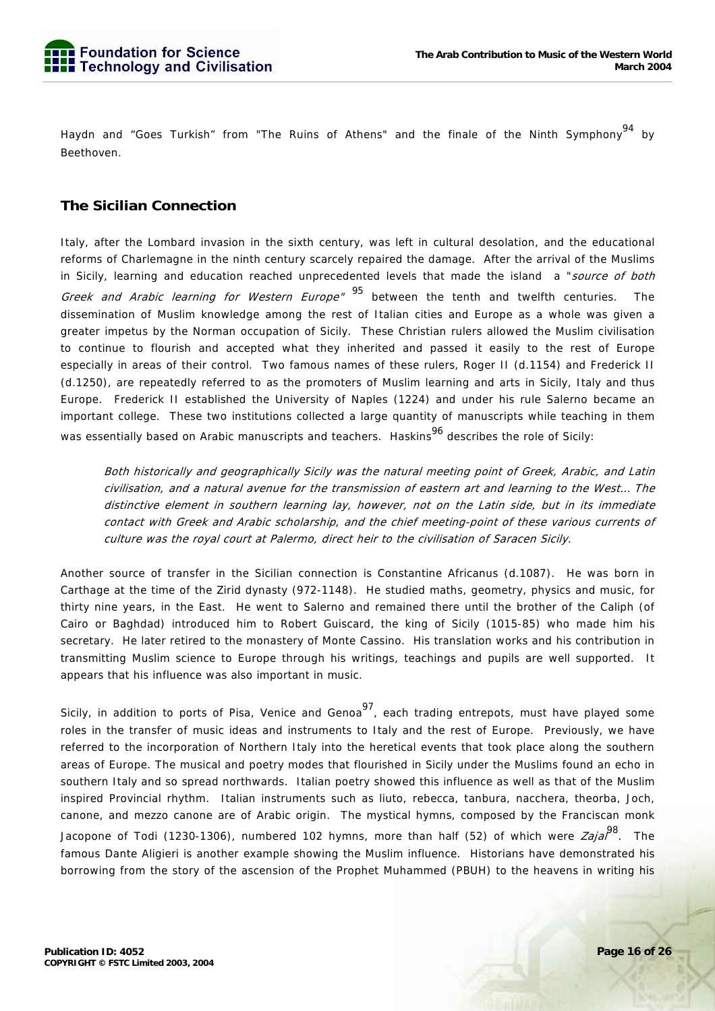Haydn and "Goes Turkish" from "The Ruins of Athens" and the finale of the Ninth Symphony<sup>94</sup> by Beethoven.

# **The Sicilian Connection**

Italy, after the Lombard invasion in the sixth century, was left in cultural desolation, and the educational reforms of Charlemagne in the ninth century scarcely repaired the damage. After the arrival of the Muslims in Sicily, learning and education reached unprecedented levels that made the island a "source of both Greek and Arabic learning for Western Europe" <sup>95</sup> between the tenth and twelfth centuries. The dissemination of Muslim knowledge among the rest of Italian cities and Europe as a whole was given a greater impetus by the Norman occupation of Sicily. These Christian rulers allowed the Muslim civilisation to continue to flourish and accepted what they inherited and passed it easily to the rest of Europe especially in areas of their control. Two famous names of these rulers, Roger II (d.1154) and Frederick II (d.1250), are repeatedly referred to as the promoters of Muslim learning and arts in Sicily, Italy and thus Europe. Frederick II established the University of Naples (1224) and under his rule Salerno became an important college. These two institutions collected a large quantity of manuscripts while teaching in them was essentially based on Arabic manuscripts and teachers. Haskins<sup>96</sup> describes the role of Sicily:

Both historically and geographically Sicily was the natural meeting point of Greek, Arabic, and Latin civilisation, and a natural avenue for the transmission of eastern art and learning to the West… The distinctive element in southern learning lay, however, not on the Latin side, but in its immediate contact with Greek and Arabic scholarship, and the chief meeting-point of these various currents of culture was the royal court at Palermo, direct heir to the civilisation of Saracen Sicily.

Another source of transfer in the Sicilian connection is Constantine Africanus (d.1087). He was born in Carthage at the time of the Zirid dynasty (972-1148). He studied maths, geometry, physics and music, for thirty nine years, in the East. He went to Salerno and remained there until the brother of the Caliph (of Cairo or Baghdad) introduced him to Robert Guiscard, the king of Sicily (1015-85) who made him his secretary. He later retired to the monastery of Monte Cassino. His translation works and his contribution in transmitting Muslim science to Europe through his writings, teachings and pupils are well supported. It appears that his influence was also important in music.

Sicily, in addition to ports of Pisa, Venice and Genoa<sup>97</sup>, each trading entrepots, must have played some roles in the transfer of music ideas and instruments to Italy and the rest of Europe. Previously, we have referred to the incorporation of Northern Italy into the heretical events that took place along the southern areas of Europe. The musical and poetry modes that flourished in Sicily under the Muslims found an echo in southern Italy and so spread northwards. Italian poetry showed this influence as well as that of the Muslim inspired Provincial rhythm. Italian instruments such as liuto, rebecca, tanbura, nacchera, theorba, Joch, canone, and mezzo canone are of Arabic origin. The mystical hymns, composed by the Franciscan monk Jacopone of Todi (1230-1306), numbered 102 hymns, more than half (52) of which were Zaial<sup>98</sup>. The famous Dante Aligieri is another example showing the Muslim influence. Historians have demonstrated his borrowing from the story of the ascension of the Prophet Muhammed (PBUH) to the heavens in writing his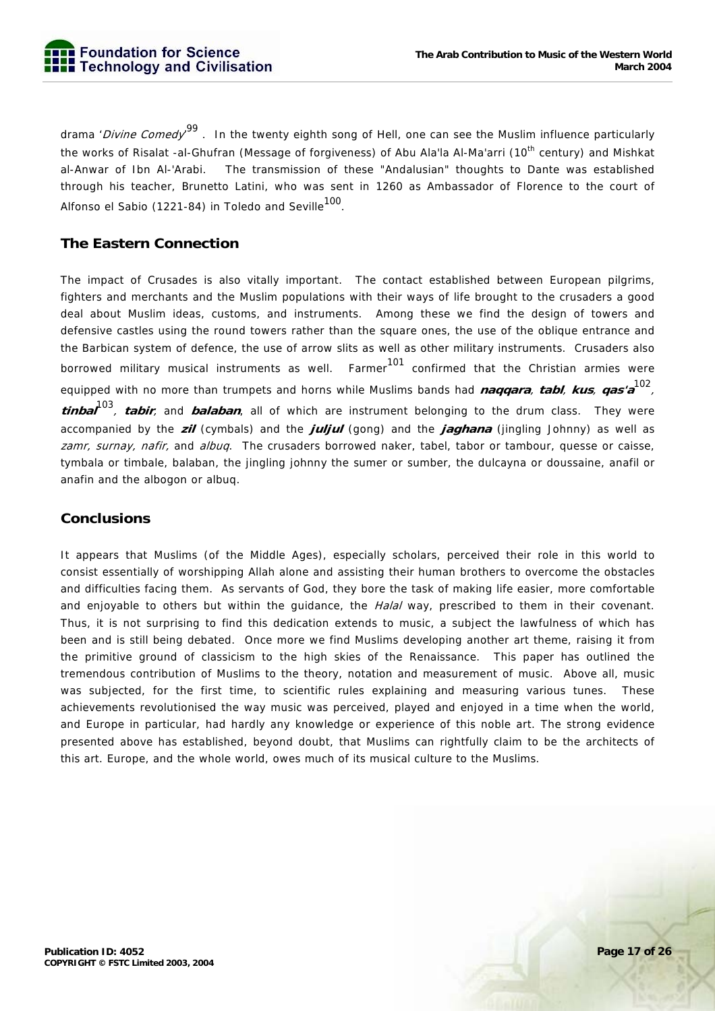drama '*Divine Comedy'* <sup>99</sup> . In the twenty eighth song of Hell, one can see the Muslim influence particularly the works of Risalat -al-Ghufran (Message of forgiveness) of Abu Ala'la Al-Ma'arri (10<sup>th</sup> century) and Mishkat al-Anwar of Ibn Al-'Arabi. The transmission of these "Andalusian" thoughts to Dante was established through his teacher, Brunetto Latini, who was sent in 1260 as Ambassador of Florence to the court of Alfonso el Sabio (1221-84) in Toledo and Seville<sup>100</sup>.

# **The Eastern Connection**

The impact of Crusades is also vitally important. The contact established between European pilgrims, fighters and merchants and the Muslim populations with their ways of life brought to the crusaders a good deal about Muslim ideas, customs, and instruments. Among these we find the design of towers and defensive castles using the round towers rather than the square ones, the use of the oblique entrance and the Barbican system of defence, the use of arrow slits as well as other military instruments. Crusaders also borrowed military musical instruments as well. Farmer<sup>101</sup> confirmed that the Christian armies were equipped with no more than trumpets and horns while Muslims bands had **naqqara**, **tabl**, **kus**, **qas'a**102, **tinbal**103, **tabir**, and **balaban**, all of which are instrument belonging to the drum class. They were accompanied by the **zil** (cymbals) and the **juljul** (gong) and the **jaghana** (jingling Johnny) as well as zamr, surnay, nafir, and albuq. The crusaders borrowed naker, tabel, tabor or tambour, quesse or caisse, tymbala or timbale, balaban, the jingling johnny the sumer or sumber, the dulcayna or doussaine, anafil or anafin and the albogon or albuq.

# **Conclusions**

It appears that Muslims (of the Middle Ages), especially scholars, perceived their role in this world to consist essentially of worshipping Allah alone and assisting their human brothers to overcome the obstacles and difficulties facing them. As servants of God, they bore the task of making life easier, more comfortable and enjoyable to others but within the quidance, the *Halal* way, prescribed to them in their covenant. Thus, it is not surprising to find this dedication extends to music, a subject the lawfulness of which has been and is still being debated. Once more we find Muslims developing another art theme, raising it from the primitive ground of classicism to the high skies of the Renaissance. This paper has outlined the tremendous contribution of Muslims to the theory, notation and measurement of music. Above all, music was subjected, for the first time, to scientific rules explaining and measuring various tunes. These achievements revolutionised the way music was perceived, played and enjoyed in a time when the world, and Europe in particular, had hardly any knowledge or experience of this noble art. The strong evidence presented above has established, beyond doubt, that Muslims can rightfully claim to be the architects of this art. Europe, and the whole world, owes much of its musical culture to the Muslims.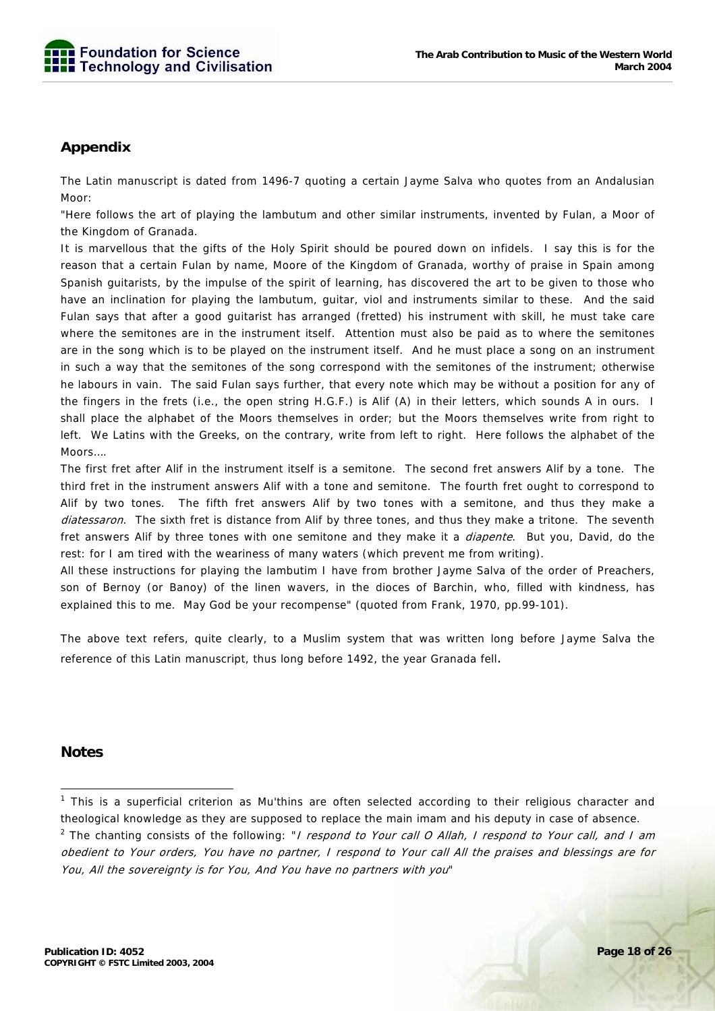

# **Appendix**

The Latin manuscript is dated from 1496-7 quoting a certain Jayme Salva who quotes from an Andalusian Moor:

"Here follows the art of playing the lambutum and other similar instruments, invented by Fulan, a Moor of the Kingdom of Granada.

It is marvellous that the gifts of the Holy Spirit should be poured down on infidels. I say this is for the reason that a certain Fulan by name, Moore of the Kingdom of Granada, worthy of praise in Spain among Spanish guitarists, by the impulse of the spirit of learning, has discovered the art to be given to those who have an inclination for playing the lambutum, guitar, viol and instruments similar to these. And the said Fulan says that after a good guitarist has arranged (fretted) his instrument with skill, he must take care where the semitones are in the instrument itself. Attention must also be paid as to where the semitones are in the song which is to be played on the instrument itself. And he must place a song on an instrument in such a way that the semitones of the song correspond with the semitones of the instrument; otherwise he labours in vain. The said Fulan says further, that every note which may be without a position for any of the fingers in the frets (i.e., the open string H.G.F.) is Alif (A) in their letters, which sounds A in ours. I shall place the alphabet of the Moors themselves in order; but the Moors themselves write from right to left. We Latins with the Greeks, on the contrary, write from left to right. Here follows the alphabet of the Moors….

The first fret after Alif in the instrument itself is a semitone. The second fret answers Alif by a tone. The third fret in the instrument answers Alif with a tone and semitone. The fourth fret ought to correspond to Alif by two tones. The fifth fret answers Alif by two tones with a semitone, and thus they make a diatessaron. The sixth fret is distance from Alif by three tones, and thus they make a tritone. The seventh fret answers Alif by three tones with one semitone and they make it a *diapente*. But you, David, do the rest: for I am tired with the weariness of many waters (which prevent me from writing).

All these instructions for playing the lambutim I have from brother Jayme Salva of the order of Preachers, son of Bernoy (or Banoy) of the linen wavers, in the dioces of Barchin, who, filled with kindness, has explained this to me. May God be your recompense" (quoted from Frank, 1970, pp.99-101).

The above text refers, quite clearly, to a Muslim system that was written long before Jayme Salva the reference of this Latin manuscript, thus long before 1492, the year Granada fell.

# **Notes**

<sup>-</sup><sup>1</sup> This is a superficial criterion as Mu'thins are often selected according to their religious character and theological knowledge as they are supposed to replace the main imam and his deputy in case of absence.

<sup>&</sup>lt;sup>2</sup> The chanting consists of the following: "*I respond to Your call O Allah, I respond to Your call, and I am* obedient to Your orders, You have no partner, I respond to Your call All the praises and blessings are for You, All the sovereignty is for You, And You have no partners with you"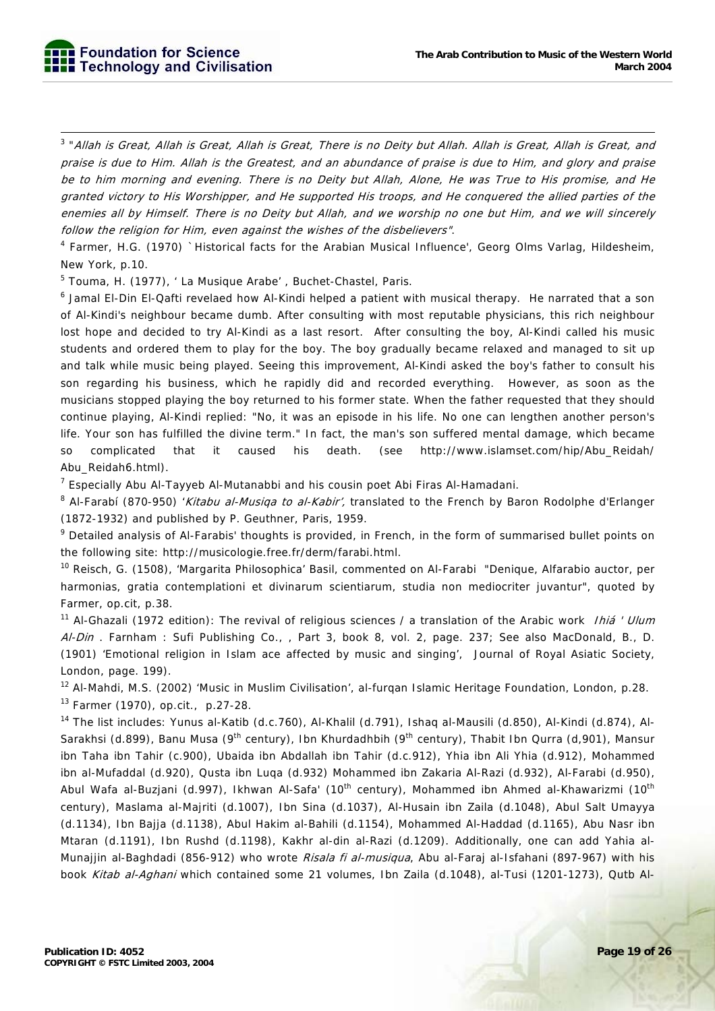3 "Allah is Great, Allah is Great, Allah is Great, There is no Deity but Allah. Allah is Great, Allah is Great, and praise is due to Him. Allah is the Greatest, and an abundance of praise is due to Him, and glory and praise be to him morning and evening. There is no Deity but Allah, Alone, He was True to His promise, and He granted victory to His Worshipper, and He supported His troops, and He conquered the allied parties of the enemies all by Himself. There is no Deity but Allah, and we worship no one but Him, and we will sincerely follow the religion for Him, even against the wishes of the disbelievers".

<sup>4</sup> Farmer, H.G. (1970) `Historical facts for the Arabian Musical Influence', Georg Olms Varlag, Hildesheim, New York, p.10.

<sup>5</sup> Touma, H. (1977), 'La Musique Arabe', Buchet-Chastel, Paris.

<sup>6</sup> Jamal El-Din El-Qafti revelaed how Al-Kindi helped a patient with musical therapy. He narrated that a son of Al-Kindi's neighbour became dumb. After consulting with most reputable physicians, this rich neighbour lost hope and decided to try Al-Kindi as a last resort. After consulting the boy, Al-Kindi called his music students and ordered them to play for the boy. The boy gradually became relaxed and managed to sit up and talk while music being played. Seeing this improvement, Al-Kindi asked the boy's father to consult his son regarding his business, which he rapidly did and recorded everything. However, as soon as the musicians stopped playing the boy returned to his former state. When the father requested that they should continue playing, Al-Kindi replied: "No, it was an episode in his life. No one can lengthen another person's life. Your son has fulfilled the divine term." In fact, the man's son suffered mental damage, which became so complicated that it caused his death. (see http://www.islamset.com/hip/Abu\_Reidah/ Abu\_Reidah6.html).

<sup>7</sup> Especially Abu Al-Tayyeb Al-Mutanabbi and his cousin poet Abi Firas Al-Hamadani.

<sup>8</sup> Al-Farabí (870-950) '*Kitabu al-Musiqa to al-Kabir'*, translated to the French by Baron Rodolphe d'Erlanger (1872-1932) and published by P. Geuthner, Paris, 1959.

<sup>9</sup> Detailed analysis of Al-Farabis' thoughts is provided, in French, in the form of summarised bullet points on the following site: http://musicologie.free.fr/derm/farabi.html.

<sup>10</sup> Reisch, G. (1508), 'Margarita Philosophica' Basil, commented on Al-Farabi "Denique, Alfarabio auctor, per harmonias, gratia contemplationi et divinarum scientiarum, studia non mediocriter juvantur", quoted by Farmer, op.cit, p.38.

<sup>11</sup> Al-Ghazali (1972 edition): The revival of religious sciences / a translation of the Arabic work *Ihiá ' Ulum* Al-Din. Farnham : Sufi Publishing Co., , Part 3, book 8, vol. 2, page. 237; See also MacDonald, B., D. (1901) 'Emotional religion in Islam ace affected by music and singing', Journal of Royal Asiatic Society, London, page. 199).

<sup>12</sup> Al-Mahdi, M.S. (2002) 'Music in Muslim Civilisation', al-furgan Islamic Heritage Foundation, London, p.28.

13 Farmer (1970), op.cit., p.27-28.

<sup>14</sup> The list includes: Yunus al-Katib (d.c.760), Al-Khalil (d.791), Ishaq al-Mausili (d.850), Al-Kindi (d.874), Al-Sarakhsi (d.899), Banu Musa (9<sup>th</sup> century), Ibn Khurdadhbih (9<sup>th</sup> century), Thabit Ibn Qurra (d,901), Mansur ibn Taha ibn Tahir (c.900), Ubaida ibn Abdallah ibn Tahir (d.c.912), Yhia ibn Ali Yhia (d.912), Mohammed ibn al-Mufaddal (d.920), Qusta ibn Luqa (d.932) Mohammed ibn Zakaria Al-Razi (d.932), Al-Farabi (d.950), Abul Wafa al-Buzjani (d.997), Ikhwan Al-Safa' (10<sup>th</sup> century), Mohammed ibn Ahmed al-Khawarizmi (10<sup>th</sup> century), Maslama al-Majriti (d.1007), Ibn Sina (d.1037), Al-Husain ibn Zaila (d.1048), Abul Salt Umayya (d.1134), Ibn Bajja (d.1138), Abul Hakim al-Bahili (d.1154), Mohammed Al-Haddad (d.1165), Abu Nasr ibn Mtaran (d.1191), Ibn Rushd (d.1198), Kakhr al-din al-Razi (d.1209). Additionally, one can add Yahia al-Munajjin al-Baghdadi (856-912) who wrote Risala fi al-musiqua, Abu al-Faraj al-Isfahani (897-967) with his book Kitab al-Aghani which contained some 21 volumes, Ibn Zaila (d.1048), al-Tusi (1201-1273), Qutb Al-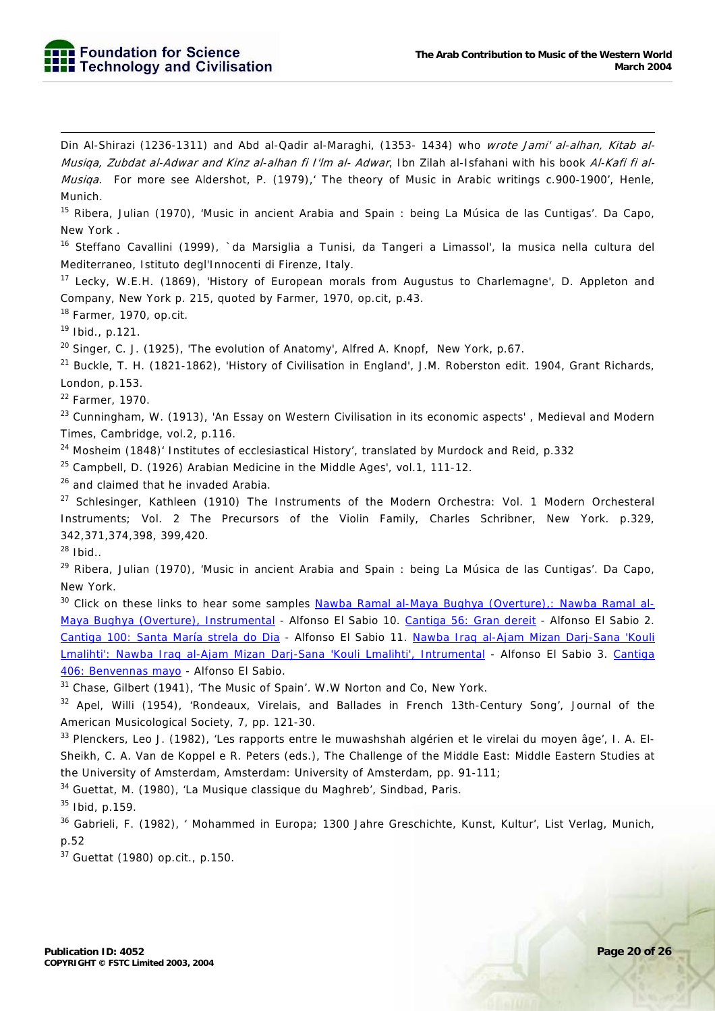Din Al-Shirazi (1236-1311) and Abd al-Qadir al-Maraghi, (1353- 1434) who wrote Jami' al-alhan, Kitab al-Musiqa, Zubdat al-Adwar and Kinz al-alhan fi I'lm al- Adwar, Ibn Zilah al-Isfahani with his book Al-Kafi fi al-Musiga. For more see Aldershot, P. (1979), The theory of Music in Arabic writings c.900-1900', Henle, Munich.

<sup>15</sup> Ribera, Julian (1970), 'Music in ancient Arabia and Spain : being La Música de las Cuntigas'. Da Capo, New York .

16 Steffano Cavallini (1999), `da Marsiglia a Tunisi, da Tangeri a Limassol', la musica nella cultura del Mediterraneo, Istituto degl'Innocenti di Firenze, Italy.

<sup>17</sup> Lecky, W.E.H. (1869), 'History of European morals from Augustus to Charlemagne', D. Appleton and Company, New York p. 215, quoted by Farmer, 1970, op.cit, p.43.

 $18$  Farmer, 1970, op.cit.

 $19$  Ibid., p.121.

-

 $20$  Singer, C. J. (1925), 'The evolution of Anatomy', Alfred A. Knopf, New York, p.67.

<sup>21</sup> Buckle, T. H. (1821-1862), 'History of Civilisation in England', J.M. Roberston edit. 1904, Grant Richards, London, p.153.

22 Farmer, 1970.

<sup>23</sup> Cunningham, W. (1913), 'An Essay on Western Civilisation in its economic aspects', Medieval and Modern Times, Cambridge, vol.2, p.116.

<sup>24</sup> Mosheim (1848)' Institutes of ecclesiastical History', translated by Murdock and Reid, p.332

 $25$  Campbell, D. (1926) Arabian Medicine in the Middle Ages', vol.1, 111-12.

<sup>26</sup> and claimed that he invaded Arabia.

<sup>27</sup> Schlesinger, Kathleen (1910) The Instruments of the Modern Orchestra: Vol. 1 Modern Orchesteral Instruments; Vol. 2 The Precursors of the Violin Family, Charles Schribner, New York. p.329, 342,371,374,398, 399,420.

 $28$  Ibid..

 $^{29}$  Ribera, Julian (1970), 'Music in ancient Arabia and Spain : being La Música de las Cuntigas'. Da Capo, New York.

<sup>30</sup> Click on these links to hear some samples Nawba Ramal al-Maya Bughya (Overture),: Nawba Ramal al-Maya Bughya (Overture), Instrumental - Alfonso El Sabio 10. Cantiga 56: Gran dereit - Alfonso El Sabio 2. Cantiga 100: Santa María strela do Dia - Alfonso El Sabio 11. Nawba Iraq al-Ajam Mizan Darj-Sana 'Kouli Lmalihti': Nawba Iraq al-Ajam Mizan Darj-Sana 'Kouli Lmalihti', Intrumental - Alfonso El Sabio 3. Cantiga 406: Benvennas mayo - Alfonso El Sabio.

 $31$  Chase, Gilbert (1941), 'The Music of Spain'. W.W Norton and Co, New York.

<sup>32</sup> Apel, Willi (1954), 'Rondeaux, Virelais, and Ballades in French 13th-Century Song', Journal of the American Musicological Society, 7, pp. 121-30.

33 Plenckers, Leo J. (1982), 'Les rapports entre le muwashshah algérien et le virelai du moyen âge', I. A. El-Sheikh, C. A. Van de Koppel e R. Peters (eds.), The Challenge of the Middle East: Middle Eastern Studies at the University of Amsterdam, Amsterdam: University of Amsterdam, pp. 91-111;

34 Guettat, M. (1980), 'La Musique classique du Maghreb', Sindbad, Paris.

35 Ibid, p.159.

36 Gabrieli, F. (1982), ' Mohammed in Europa; 1300 Jahre Greschichte, Kunst, Kultur', List Verlag, Munich, p.52

37 Guettat (1980) op.cit., p.150.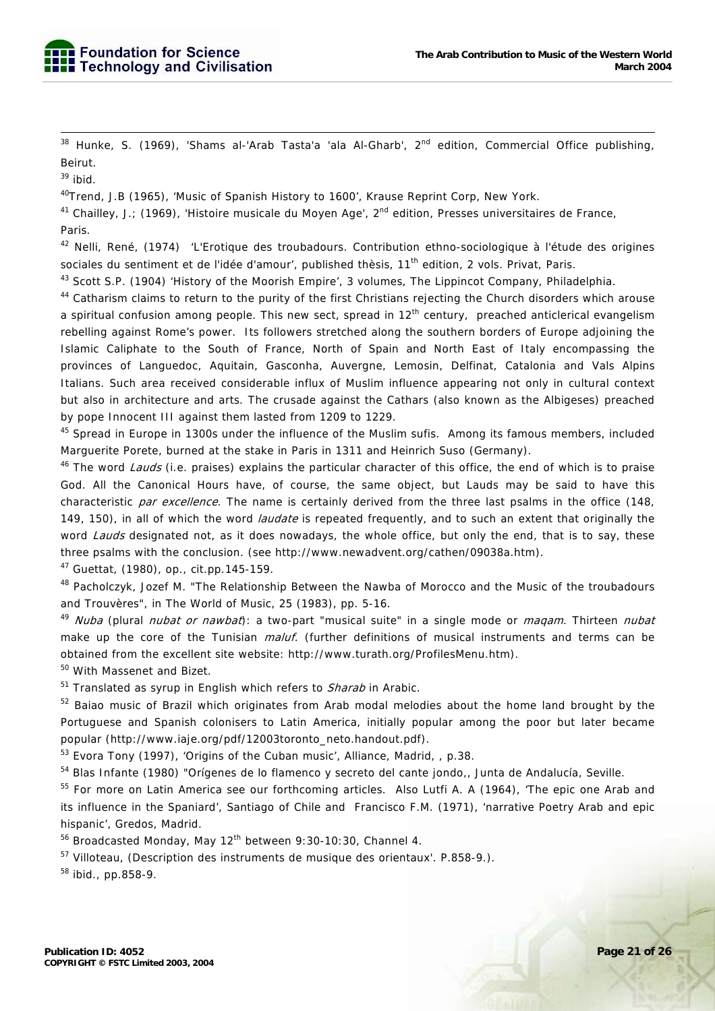$38$  Hunke, S. (1969), 'Shams al-'Arab Tasta'a 'ala Al-Gharb',  $2<sup>nd</sup>$  edition, Commercial Office publishing, Beirut.

 $39$  ibid.

40Trend, J.B (1965), 'Music of Spanish History to 1600', Krause Reprint Corp, New York.

<sup>41</sup> Chailley, J.; (1969), 'Histoire musicale du Moyen Age', 2<sup>nd</sup> edition, Presses universitaires de France, Paris.

42 Nelli, René, (1974) 'L'Erotique des troubadours. Contribution ethno-sociologique à l'étude des origines sociales du sentiment et de l'idée d'amour', published thèsis, 11<sup>th</sup> edition, 2 vols. Privat, Paris.

43 Scott S.P. (1904) 'History of the Moorish Empire', 3 volumes, The Lippincot Company, Philadelphia.

<sup>44</sup> Catharism claims to return to the purity of the first Christians rejecting the Church disorders which arouse a spiritual confusion among people. This new sect, spread in 12<sup>th</sup> century, preached anticlerical evangelism rebelling against Rome's power. Its followers stretched along the southern borders of Europe adjoining the Islamic Caliphate to the South of France, North of Spain and North East of Italy encompassing the provinces of Languedoc, Aquitain, Gasconha, Auvergne, Lemosin, Delfinat, Catalonia and Vals Alpins Italians. Such area received considerable influx of Muslim influence appearing not only in cultural context but also in architecture and arts. The crusade against the Cathars (also known as the Albigeses) preached by pope Innocent III against them lasted from 1209 to 1229.

45 Spread in Europe in 1300s under the influence of the Muslim sufis. Among its famous members, included Marguerite Porete, burned at the stake in Paris in 1311 and Heinrich Suso (Germany).

<sup>46</sup> The word *Lauds* (i.e. praises) explains the particular character of this office, the end of which is to praise God. All the Canonical Hours have, of course, the same object, but Lauds may be said to have this characteristic par excellence. The name is certainly derived from the three last psalms in the office (148, 149, 150), in all of which the word *laudate* is repeated frequently, and to such an extent that originally the word Lauds designated not, as it does nowadays, the whole office, but only the end, that is to say, these three psalms with the conclusion. (see http://www.newadvent.org/cathen/09038a.htm).

47 Guettat, (1980), op., cit.pp.145-159.

48 Pacholczyk, Jozef M. "The Relationship Between the Nawba of Morocco and the Music of the troubadours and Trouvères", in The World of Music, 25 (1983), pp. 5-16.

<sup>49</sup> Nuba (plural *nubat or nawbat*): a two-part "musical suite" in a single mode or *maqam*. Thirteen *nubat* make up the core of the Tunisian *maluf.* (further definitions of musical instruments and terms can be obtained from the excellent site website: http://www.turath.org/ProfilesMenu.htm).

50 With Massenet and Bizet.

 $51$  Translated as syrup in English which refers to *Sharab* in Arabic.

<sup>52</sup> Baiao music of Brazil which originates from Arab modal melodies about the home land brought by the Portuguese and Spanish colonisers to Latin America, initially popular among the poor but later became popular (http://www.iaje.org/pdf/12003toronto\_neto.handout.pdf).

53 Evora Tony (1997), 'Origins of the Cuban music', Alliance, Madrid, , p.38.

<sup>54</sup> Blas Infante (1980) "Orígenes de lo flamenco y secreto del cante jondo,, Junta de Andalucía, Seville.

<sup>55</sup> For more on Latin America see our forthcoming articles. Also Lutfi A. A (1964), 'The epic one Arab and its influence in the Spaniard', Santiago of Chile and Francisco F.M. (1971), 'narrative Poetry Arab and epic hispanic', Gredos, Madrid.

 $56$  Broadcasted Monday, May  $12<sup>th</sup>$  between 9:30-10:30, Channel 4.

<sup>57</sup> Villoteau, (Description des instruments de musique des orientaux'. P.858-9.).

 $58$  ibid., pp.858-9.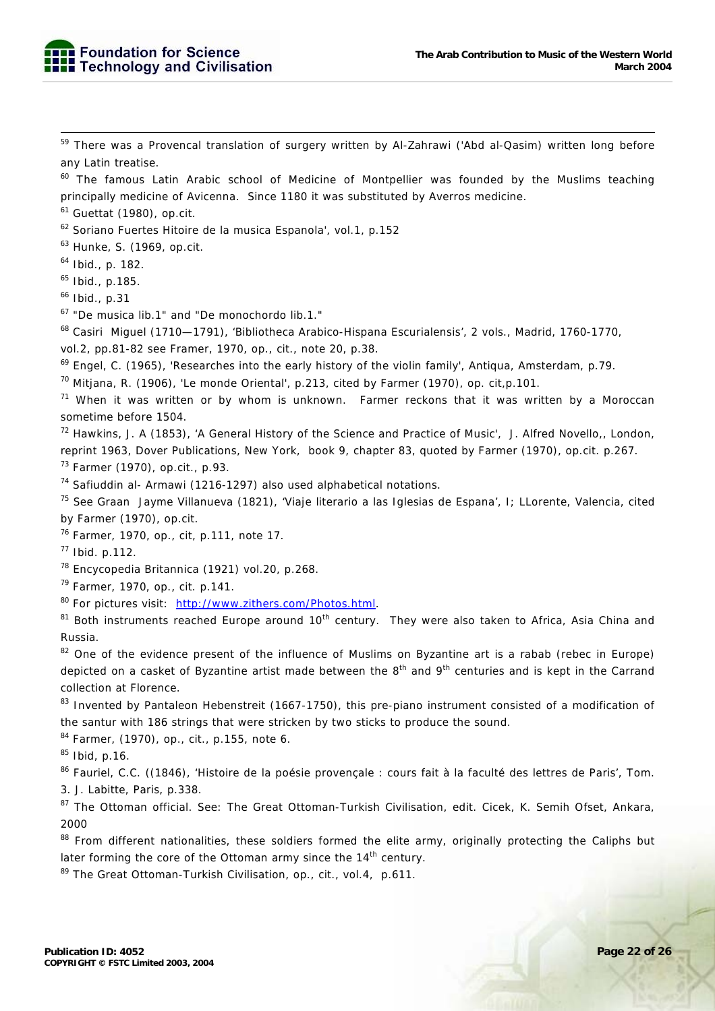<sup>59</sup> There was a Provencal translation of surgery written by Al-Zahrawi ('Abd al-Qasim) written long before any Latin treatise.

 $60$  The famous Latin Arabic school of Medicine of Montpellier was founded by the Muslims teaching principally medicine of Avicenna. Since 1180 it was substituted by Averros medicine.

 $61$  Guettat (1980), op.cit.

62 Soriano Fuertes Hitoire de la musica Espanola', vol.1, p.152

63 Hunke, S. (1969, op.cit.

 $64$  Ibid., p. 182.

 $^{65}$  Ibid., p.185.

66 Ibid., p.31

67 "De musica lib.1" and "De monochordo lib.1."

68 Casiri Miguel (1710—1791), 'Bibliotheca Arabico-Hispana Escurialensis', 2 vols., Madrid, 1760-1770,

vol.2, pp.81-82 see Framer, 1970, op., cit., note 20, p.38.

 $^{69}$  Engel, C. (1965), 'Researches into the early history of the violin family', Antiqua, Amsterdam, p.79.

 $70$  Mitjana, R. (1906), 'Le monde Oriental', p.213, cited by Farmer (1970), op. cit, p.101.

 $71$  When it was written or by whom is unknown. Farmer reckons that it was written by a Moroccan sometime before 1504.

 $72$  Hawkins, J. A (1853), 'A General History of the Science and Practice of Music', J. Alfred Novello,, London, reprint 1963, Dover Publications, New York, book 9, chapter 83, quoted by Farmer (1970), op.cit. p.267.

73 Farmer (1970), op.cit., p.93.

 $74$  Safiuddin al- Armawi (1216-1297) also used alphabetical notations.

75 See Graan Jayme Villanueva (1821), 'Viaje literario a las Iglesias de Espana', I; LLorente, Valencia, cited by Farmer (1970), op.cit.

76 Farmer, 1970, op., cit, p.111, note 17.

77 Ibid. p.112.

78 Encycopedia Britannica (1921) vol.20, p.268.

79 Farmer, 1970, op., cit. p.141.

80 For pictures visit: http://www.zithers.com/Photos.html.

<sup>81</sup> Both instruments reached Europe around 10<sup>th</sup> century. They were also taken to Africa, Asia China and Russia.

<sup>82</sup> One of the evidence present of the influence of Muslims on Byzantine art is a rabab (rebec in Europe) depicted on a casket of Byzantine artist made between the 8<sup>th</sup> and 9<sup>th</sup> centuries and is kept in the Carrand collection at Florence.

<sup>83</sup> Invented by Pantaleon Hebenstreit (1667-1750), this pre-piano instrument consisted of a modification of the santur with 186 strings that were stricken by two sticks to produce the sound.

 $84$  Farmer, (1970), op., cit., p.155, note 6.

 $85$  Ibid, p.16.

86 Fauriel, C.C. ((1846), 'Histoire de la poésie provençale : cours fait à la faculté des lettres de Paris', Tom.

3. J. Labitte, Paris, p.338.

87 The Ottoman official. See: The Great Ottoman-Turkish Civilisation, edit. Cicek, K. Semih Ofset, Ankara, 2000

<sup>88</sup> From different nationalities, these soldiers formed the elite army, originally protecting the Caliphs but later forming the core of the Ottoman army since the 14<sup>th</sup> century.

89 The Great Ottoman-Turkish Civilisation, op., cit., vol.4, p.611.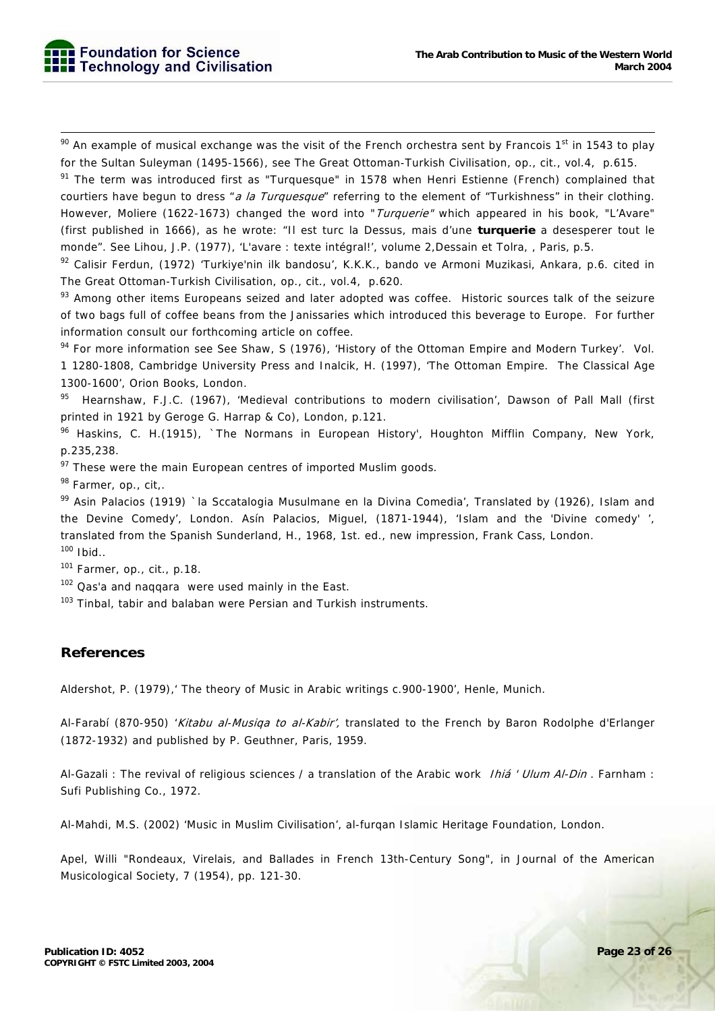$90$  An example of musical exchange was the visit of the French orchestra sent by Francois 1<sup>st</sup> in 1543 to play for the Sultan Suleyman (1495-1566), see The Great Ottoman-Turkish Civilisation, op., cit., vol.4, p.615.

<sup>91</sup> The term was introduced first as "Turquesque" in 1578 when Henri Estienne (French) complained that courtiers have begun to dress "a la Turquesque" referring to the element of "Turkishness" in their clothing. However, Moliere (1622-1673) changed the word into "*Turquerie"* which appeared in his book, "L'Avare" (first published in 1666), as he wrote: "Il est turc la Dessus, mais d'une **turquerie** a desesperer tout le monde". See Lihou, J.P. (1977), 'L'avare : texte intégral!', volume 2,Dessain et Tolra, , Paris, p.5.

92 Calisir Ferdun, (1972) 'Turkiye'nin ilk bandosu', K.K.K., bando ve Armoni Muzikasi, Ankara, p.6. cited in The Great Ottoman-Turkish Civilisation, op., cit., vol.4, p.620.

93 Among other items Europeans seized and later adopted was coffee. Historic sources talk of the seizure of two bags full of coffee beans from the Janissaries which introduced this beverage to Europe. For further information consult our forthcoming article on coffee.

94 For more information see See Shaw, S (1976), 'History of the Ottoman Empire and Modern Turkey'. Vol. 1 1280-1808, Cambridge University Press and Inalcik, H. (1997), 'The Ottoman Empire. The Classical Age 1300-1600', Orion Books, London.

95 Hearnshaw, F.J.C. (1967), 'Medieval contributions to modern civilisation', Dawson of Pall Mall (first printed in 1921 by Geroge G. Harrap & Co), London, p.121.

96 Haskins, C. H.(1915), `The Normans in European History', Houghton Mifflin Company, New York, p.235,238.

 $97$  These were the main European centres of imported Muslim goods.

98 Farmer, op., cit,.

99 Asin Palacios (1919) `la Sccatalogia Musulmane en la Divina Comedia', Translated by (1926), Islam and the Devine Comedy', London. Asín Palacios, Miguel, (1871-1944), 'Islam and the 'Divine comedy' ', translated from the Spanish Sunderland, H., 1968, 1st. ed., new impression, Frank Cass, London.  $100$  Ibid..

101 Farmer, op., cit., p.18.

<sup>102</sup> Qas'a and naggara were used mainly in the East.

<sup>103</sup> Tinbal, tabir and balaban were Persian and Turkish instruments.

# **References**

Aldershot, P. (1979),' The theory of Music in Arabic writings c.900-1900', Henle, Munich.

Al-Farabí (870-950) 'Kitabu al-Musiqa to al-Kabir', translated to the French by Baron Rodolphe d'Erlanger (1872-1932) and published by P. Geuthner, Paris, 1959.

Al-Gazali : The revival of religious sciences / a translation of the Arabic work *Ihiá ' Ulum Al-Din* . Farnham : Sufi Publishing Co., 1972.

Al-Mahdi, M.S. (2002) 'Music in Muslim Civilisation', al-furqan Islamic Heritage Foundation, London.

Apel, Willi "Rondeaux, Virelais, and Ballades in French 13th-Century Song", in Journal of the American Musicological Society, 7 (1954), pp. 121-30.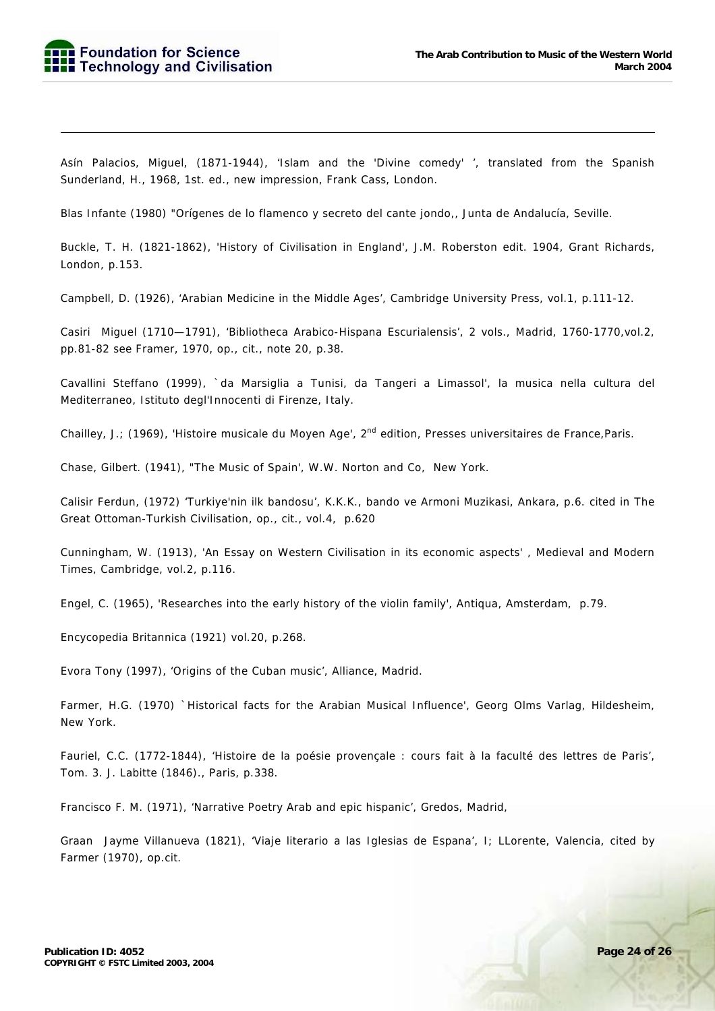-

Asín Palacios, Miguel, (1871-1944), 'Islam and the 'Divine comedy' ', translated from the Spanish Sunderland, H., 1968, 1st. ed., new impression, Frank Cass, London.

Blas Infante (1980) "Orígenes de lo flamenco y secreto del cante jondo,, Junta de Andalucía, Seville.

Buckle, T. H. (1821-1862), 'History of Civilisation in England', J.M. Roberston edit. 1904, Grant Richards, London, p.153.

Campbell, D. (1926), 'Arabian Medicine in the Middle Ages', Cambridge University Press, vol.1, p.111-12.

Casiri Miguel (1710—1791), 'Bibliotheca Arabico-Hispana Escurialensis', 2 vols., Madrid, 1760-1770,vol.2, pp.81-82 see Framer, 1970, op., cit., note 20, p.38.

Cavallini Steffano (1999), `da Marsiglia a Tunisi, da Tangeri a Limassol', la musica nella cultura del Mediterraneo, Istituto degl'Innocenti di Firenze, Italy.

Chailley, J.; (1969), 'Histoire musicale du Moyen Age', 2<sup>nd</sup> edition, Presses universitaires de France, Paris.

Chase, Gilbert. (1941), "The Music of Spain', W.W. Norton and Co, New York.

Calisir Ferdun, (1972) 'Turkiye'nin ilk bandosu', K.K.K., bando ve Armoni Muzikasi, Ankara, p.6. cited in The Great Ottoman-Turkish Civilisation, op., cit., vol.4, p.620

Cunningham, W. (1913), 'An Essay on Western Civilisation in its economic aspects' , Medieval and Modern Times, Cambridge, vol.2, p.116.

Engel, C. (1965), 'Researches into the early history of the violin family', Antiqua, Amsterdam, p.79.

Encycopedia Britannica (1921) vol.20, p.268.

Evora Tony (1997), 'Origins of the Cuban music', Alliance, Madrid.

Farmer, H.G. (1970) `Historical facts for the Arabian Musical Influence', Georg Olms Varlag, Hildesheim, New York.

Fauriel, C.C. (1772-1844), 'Histoire de la poésie provençale : cours fait à la faculté des lettres de Paris', Tom. 3. J. Labitte (1846)., Paris, p.338.

Francisco F. M. (1971), 'Narrative Poetry Arab and epic hispanic', Gredos, Madrid,

Graan Jayme Villanueva (1821), 'Viaje literario a las Iglesias de Espana', I; LLorente, Valencia, cited by Farmer (1970), op.cit.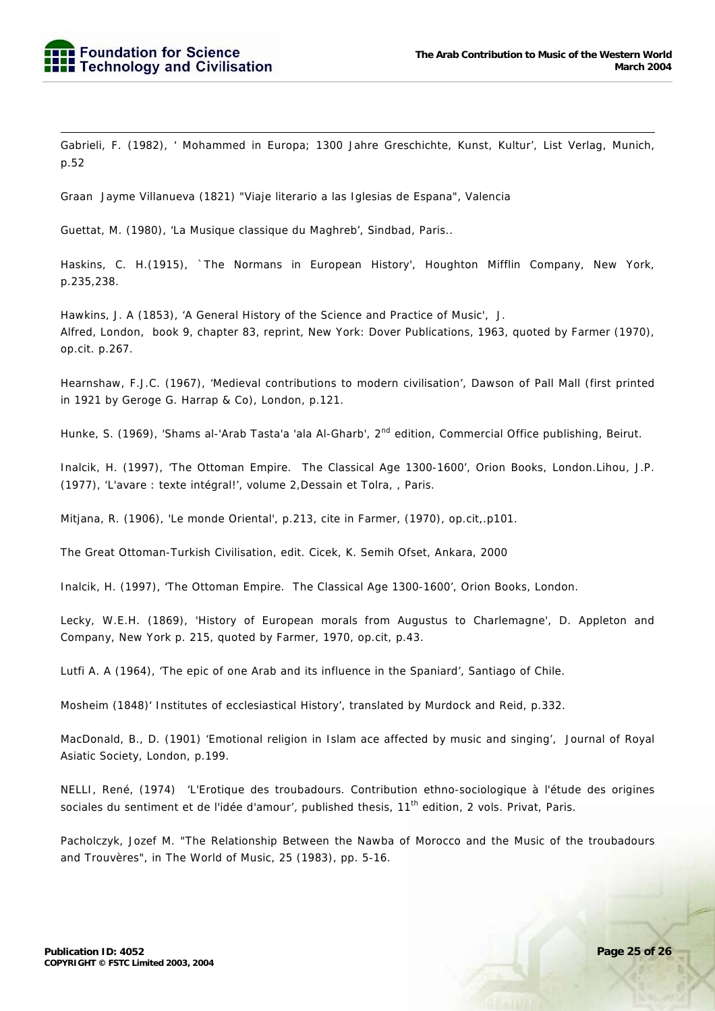-Gabrieli, F. (1982), ' Mohammed in Europa; 1300 Jahre Greschichte, Kunst, Kultur', List Verlag, Munich, p.52

Graan Jayme Villanueva (1821) "Viaje literario a las Iglesias de Espana", Valencia

Guettat, M. (1980), 'La Musique classique du Maghreb', Sindbad, Paris..

Haskins, C. H.(1915), `The Normans in European History', Houghton Mifflin Company, New York, p.235,238.

Hawkins, J. A (1853), 'A General History of the Science and Practice of Music', J. Alfred, London, book 9, chapter 83, reprint, New York: Dover Publications, 1963, quoted by Farmer (1970), op.cit. p.267.

Hearnshaw, F.J.C. (1967), 'Medieval contributions to modern civilisation', Dawson of Pall Mall (first printed in 1921 by Geroge G. Harrap & Co), London, p.121.

Hunke, S. (1969), 'Shams al-'Arab Tasta'a 'ala Al-Gharb', 2<sup>nd</sup> edition, Commercial Office publishing, Beirut.

Inalcik, H. (1997), 'The Ottoman Empire. The Classical Age 1300-1600', Orion Books, London.Lihou, J.P. (1977), 'L'avare : texte intégral!', volume 2,Dessain et Tolra, , Paris.

Mitjana, R. (1906), 'Le monde Oriental', p.213, cite in Farmer, (1970), op.cit,.p101.

The Great Ottoman-Turkish Civilisation, edit. Cicek, K. Semih Ofset, Ankara, 2000

Inalcik, H. (1997), 'The Ottoman Empire. The Classical Age 1300-1600', Orion Books, London.

Lecky, W.E.H. (1869), 'History of European morals from Augustus to Charlemagne', D. Appleton and Company, New York p. 215, quoted by Farmer, 1970, op.cit, p.43.

Lutfi A. A (1964), 'The epic of one Arab and its influence in the Spaniard', Santiago of Chile.

Mosheim (1848)' Institutes of ecclesiastical History', translated by Murdock and Reid, p.332.

MacDonald, B., D. (1901) 'Emotional religion in Islam ace affected by music and singing', Journal of Royal Asiatic Society, London, p.199.

NELLI, René, (1974) 'L'Erotique des troubadours. Contribution ethno-sociologique à l'étude des origines sociales du sentiment et de l'idée d'amour', published thesis, 11<sup>th</sup> edition, 2 vols. Privat, Paris.

Pacholczyk, Jozef M. "The Relationship Between the Nawba of Morocco and the Music of the troubadours and Trouvères", in The World of Music, 25 (1983), pp. 5-16.